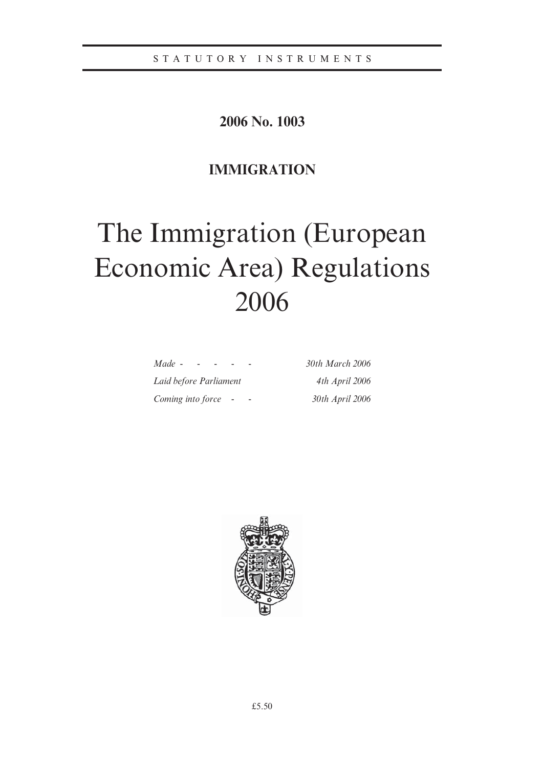## **2006 No. 1003**

# $E$ conomic  $\Lambda$ rea) Requisions  $2006$ 2006

| Made -                 | 30th March 2006 |
|------------------------|-----------------|
| Laid before Parliament | 4th April 2006  |
| Coming into force      | 30th April 2006 |

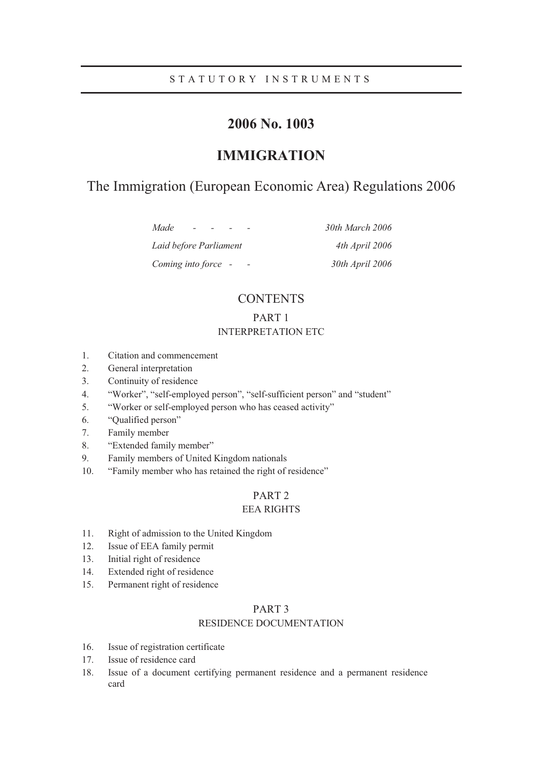## STATUTORY INSTRUMENTS

## **2006 No. 1003**

## **IMMIGRATION**

## The Immigration (European Economic Area) Regulations 2006

*Made - - - - 30th March 2006 Laid before Parliament 4th April 2006* 

*Coming into force - - 30th April 2006* 

## **CONTENTS**

#### PART 1

## INTERPRETATION ETC

- 1. Citation and commencement
- 2. General interpretation
- 3. Continuity of residence
- 4. "Worker", "self-employed person", "self-sufficient person" and "student"
- 5. "Worker or self-employed person who has ceased activity"
- 6. "Qualified person"
- 7. Family member
- 8. "Extended family member"
- 9. Family members of United Kingdom nationals
- 10. "Family member who has retained the right of residence"

## PART 2

## EEA RIGHTS

- 11. Right of admission to the United Kingdom
- 12. Issue of EEA family permit
- 13. Initial right of residence
- 14. Extended right of residence
- 15. Permanent right of residence

## PART 3

## RESIDENCE DOCUMENTATION

- 16. Issue of registration certificate
- 17. Issue of residence card
- 18. Issue of a document certifying permanent residence and a permanent residence card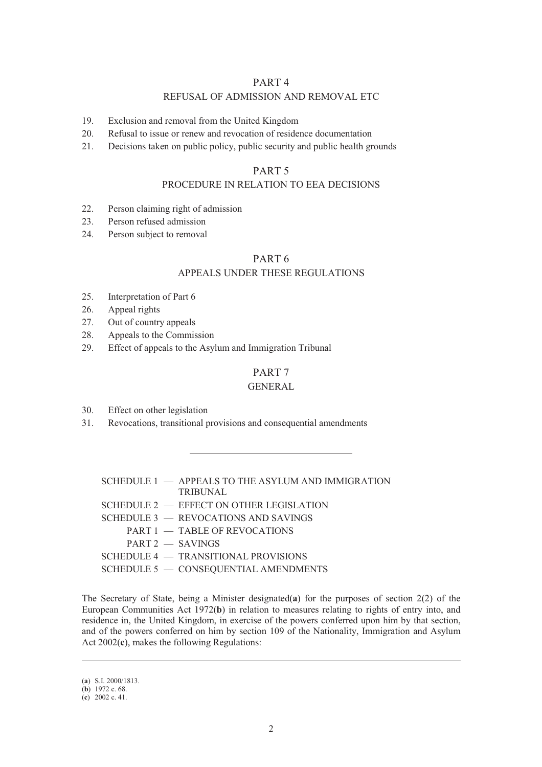#### PART 4

## REFUSAL OF ADMISSION AND REMOVAL ETC

- 19. Exclusion and removal from the United Kingdom
- 20. Refusal to issue or renew and revocation of residence documentation
- 21. Decisions taken on public policy, public security and public health grounds

#### PART 5

#### PROCEDURE IN RELATION TO EEA DECISIONS

- 22. Person claiming right of admission
- 23. Person refused admission
- 24. Person subject to removal

## PART 6

#### APPEALS UNDER THESE REGULATIONS

- 25. Interpretation of Part 6
- 26. Appeal rights
- 27. Out of country appeals
- 28. Appeals to the Commission
- 29. Effect of appeals to the Asylum and Immigration Tribunal

## PART 7

## GENERAL

- 30. Effect on other legislation
- 31. Revocations, transitional provisions and consequential amendments

 SCHEDULE 1 — APPEALS TO THE ASYLUM AND IMMIGRATION TRIBUNAL SCHEDULE 2 — EFFECT ON OTHER LEGISLATION SCHEDULE 3 — REVOCATIONS AND SAVINGS PART 1 - TABLE OF REVOCATIONS PART 2 — SAVINGS SCHEDULE 4 — TRANSITIONAL PROVISIONS SCHEDULE 5 — CONSEQUENTIAL AMENDMENTS

The Secretary of State, being a Minister designated(**a**) for the purposes of section 2(2) of the European Communities Act 1972(**b**) in relation to measures relating to rights of entry into, and residence in, the United Kingdom, in exercise of the powers conferred upon him by that section, and of the powers conferred on him by section 109 of the Nationality, Immigration and Asylum Act 2002(**c**), makes the following Regulations:

<sup>(</sup>**a**) S.I. 2000/1813.

<sup>(</sup>**b**) 1972 c. 68.

<sup>(</sup>**c**) 2002 c. 41.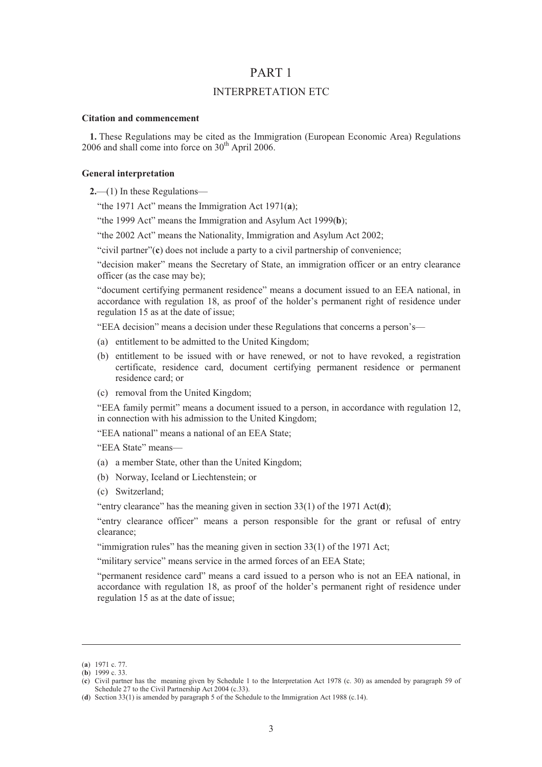## PART 1

## INTERPRETATION ETC

#### **Citation and commencement**

**1.** These Regulations may be cited as the Immigration (European Economic Area) Regulations  $2006$  and shall come into force on  $30<sup>th</sup>$  April 2006.

#### **General interpretation**

**2.**—(1) In these Regulations—

"the 1971 Act" means the Immigration Act 1971(**a**);

"the 1999 Act" means the Immigration and Asylum Act 1999(**b**);

"the 2002 Act" means the Nationality, Immigration and Asylum Act 2002;

"civil partner"(**c**) does not include a party to a civil partnership of convenience;

"decision maker" means the Secretary of State, an immigration officer or an entry clearance officer (as the case may be);

"document certifying permanent residence" means a document issued to an EEA national, in accordance with regulation 18, as proof of the holder's permanent right of residence under regulation 15 as at the date of issue;

"EEA decision" means a decision under these Regulations that concerns a person's—

- (a) entitlement to be admitted to the United Kingdom;
- (b) entitlement to be issued with or have renewed, or not to have revoked, a registration certificate, residence card, document certifying permanent residence or permanent residence card; or
- (c) removal from the United Kingdom;

"EEA family permit" means a document issued to a person, in accordance with regulation 12, in connection with his admission to the United Kingdom;

"EEA national" means a national of an EEA State;

"EEA State" means—

- (a) a member State, other than the United Kingdom;
- (b) Norway, Iceland or Liechtenstein; or
- (c) Switzerland;

"entry clearance" has the meaning given in section 33(1) of the 1971 Act(**d**);

"entry clearance officer" means a person responsible for the grant or refusal of entry clearance;

"immigration rules" has the meaning given in section 33(1) of the 1971 Act;

"military service" means service in the armed forces of an EEA State;

"permanent residence card" means a card issued to a person who is not an EEA national, in accordance with regulation 18, as proof of the holder's permanent right of residence under regulation 15 as at the date of issue;

<sup>(</sup>**a**) 1971 c. 77.

<sup>(</sup>**b**) 1999 c. 33.

<sup>(</sup>**c**) Civil partner has the meaning given by Schedule 1 to the Interpretation Act 1978 (c. 30) as amended by paragraph 59 of Schedule 27 to the Civil Partnership Act 2004 (c.33).

<sup>(</sup>**d**) Section 33(1) is amended by paragraph 5 of the Schedule to the Immigration Act 1988 (c.14).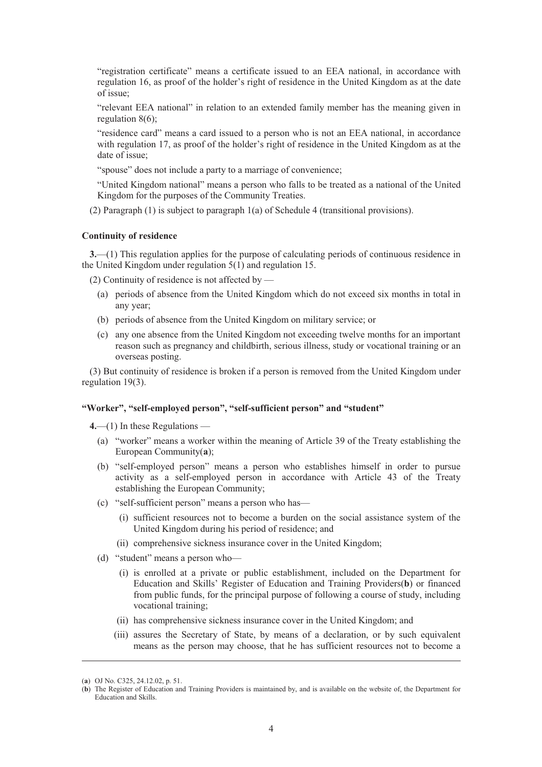"registration certificate" means a certificate issued to an EEA national, in accordance with regulation 16, as proof of the holder's right of residence in the United Kingdom as at the date of issue;

"relevant EEA national" in relation to an extended family member has the meaning given in regulation 8(6);

"residence card" means a card issued to a person who is not an EEA national, in accordance with regulation 17, as proof of the holder's right of residence in the United Kingdom as at the date of issue;

"spouse" does not include a party to a marriage of convenience;

"United Kingdom national" means a person who falls to be treated as a national of the United Kingdom for the purposes of the Community Treaties.

(2) Paragraph (1) is subject to paragraph 1(a) of Schedule 4 (transitional provisions).

#### **Continuity of residence**

**3.**—(1) This regulation applies for the purpose of calculating periods of continuous residence in the United Kingdom under regulation 5(1) and regulation 15.

(2) Continuity of residence is not affected by —

- (a) periods of absence from the United Kingdom which do not exceed six months in total in any year;
- (b) periods of absence from the United Kingdom on military service; or
- (c) any one absence from the United Kingdom not exceeding twelve months for an important reason such as pregnancy and childbirth, serious illness, study or vocational training or an overseas posting.

(3) But continuity of residence is broken if a person is removed from the United Kingdom under regulation 19(3).

#### **"Worker", "self-employed person", "self-sufficient person" and "student"**

**4.**—(1) In these Regulations —

- (a) "worker" means a worker within the meaning of Article 39 of the Treaty establishing the European Community(**a**);
- (b) "self-employed person" means a person who establishes himself in order to pursue activity as a self-employed person in accordance with Article 43 of the Treaty establishing the European Community;
- (c) "self-sufficient person" means a person who has—
	- (i) sufficient resources not to become a burden on the social assistance system of the United Kingdom during his period of residence; and
	- (ii) comprehensive sickness insurance cover in the United Kingdom;
- (d) "student" means a person who—
	- (i) is enrolled at a private or public establishment, included on the Department for Education and Skills' Register of Education and Training Providers(**b**) or financed from public funds, for the principal purpose of following a course of study, including vocational training;
	- (ii) has comprehensive sickness insurance cover in the United Kingdom; and
	- (iii) assures the Secretary of State, by means of a declaration, or by such equivalent means as the person may choose, that he has sufficient resources not to become a

<sup>(</sup>**a**) OJ No. C325, 24.12.02, p. 51.

<sup>(</sup>**b**) The Register of Education and Training Providers is maintained by, and is available on the website of, the Department for Education and Skills.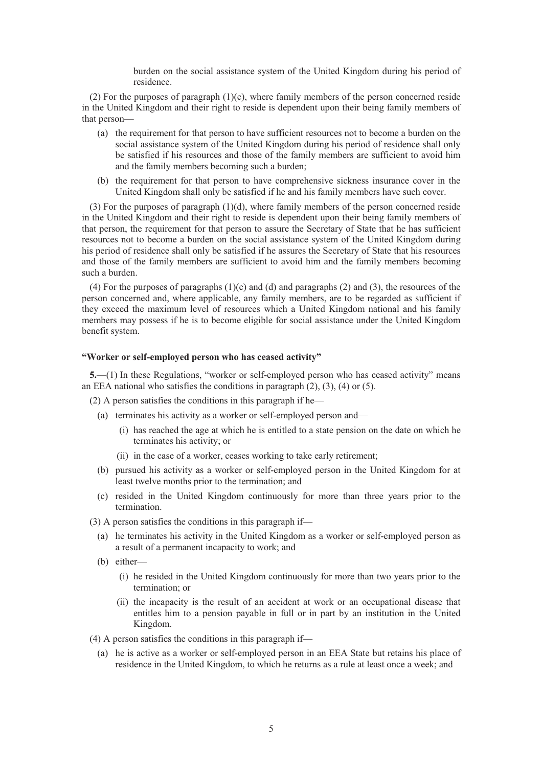burden on the social assistance system of the United Kingdom during his period of residence.

(2) For the purposes of paragraph  $(1)(c)$ , where family members of the person concerned reside in the United Kingdom and their right to reside is dependent upon their being family members of that person—

- (a) the requirement for that person to have sufficient resources not to become a burden on the social assistance system of the United Kingdom during his period of residence shall only be satisfied if his resources and those of the family members are sufficient to avoid him and the family members becoming such a burden;
- (b) the requirement for that person to have comprehensive sickness insurance cover in the United Kingdom shall only be satisfied if he and his family members have such cover.

(3) For the purposes of paragraph  $(1)(d)$ , where family members of the person concerned reside in the United Kingdom and their right to reside is dependent upon their being family members of that person, the requirement for that person to assure the Secretary of State that he has sufficient resources not to become a burden on the social assistance system of the United Kingdom during his period of residence shall only be satisfied if he assures the Secretary of State that his resources and those of the family members are sufficient to avoid him and the family members becoming such a burden.

(4) For the purposes of paragraphs (1)(c) and (d) and paragraphs (2) and (3), the resources of the person concerned and, where applicable, any family members, are to be regarded as sufficient if they exceed the maximum level of resources which a United Kingdom national and his family members may possess if he is to become eligible for social assistance under the United Kingdom benefit system.

#### **"Worker or self-employed person who has ceased activity"**

**5.**—(1) In these Regulations, "worker or self-employed person who has ceased activity" means an EEA national who satisfies the conditions in paragraph  $(2)$ ,  $(3)$ ,  $(4)$  or  $(5)$ .

(2) A person satisfies the conditions in this paragraph if he—

- (a) terminates his activity as a worker or self-employed person and—
	- (i) has reached the age at which he is entitled to a state pension on the date on which he terminates his activity; or
	- (ii) in the case of a worker, ceases working to take early retirement;
- (b) pursued his activity as a worker or self-employed person in the United Kingdom for at least twelve months prior to the termination; and
- (c) resided in the United Kingdom continuously for more than three years prior to the termination.
- (3) A person satisfies the conditions in this paragraph if—
	- (a) he terminates his activity in the United Kingdom as a worker or self-employed person as a result of a permanent incapacity to work; and
	- (b) either—
		- (i) he resided in the United Kingdom continuously for more than two years prior to the termination; or
		- (ii) the incapacity is the result of an accident at work or an occupational disease that entitles him to a pension payable in full or in part by an institution in the United Kingdom.
- (4) A person satisfies the conditions in this paragraph if—
	- (a) he is active as a worker or self-employed person in an EEA State but retains his place of residence in the United Kingdom, to which he returns as a rule at least once a week; and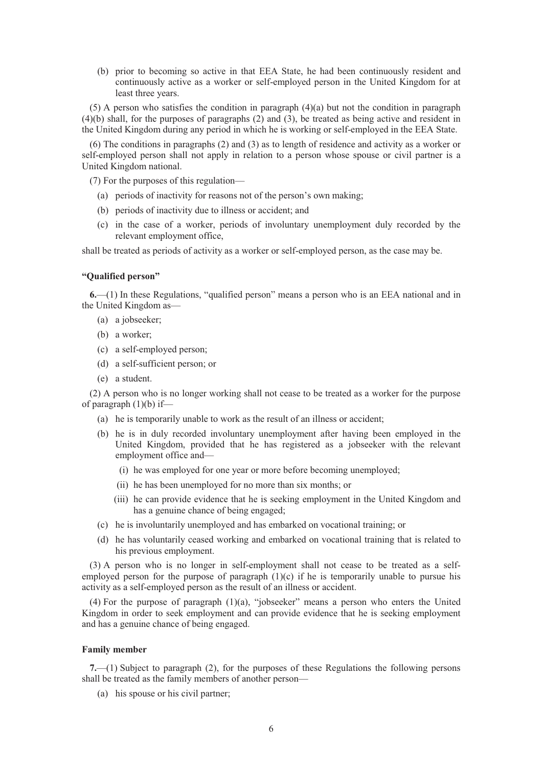(b) prior to becoming so active in that EEA State, he had been continuously resident and continuously active as a worker or self-employed person in the United Kingdom for at least three years.

 $(5)$  A person who satisfies the condition in paragraph  $(4)(a)$  but not the condition in paragraph (4)(b) shall, for the purposes of paragraphs (2) and (3), be treated as being active and resident in the United Kingdom during any period in which he is working or self-employed in the EEA State.

(6) The conditions in paragraphs (2) and (3) as to length of residence and activity as a worker or self-employed person shall not apply in relation to a person whose spouse or civil partner is a United Kingdom national.

(7) For the purposes of this regulation—

- (a) periods of inactivity for reasons not of the person's own making;
- (b) periods of inactivity due to illness or accident; and
- (c) in the case of a worker, periods of involuntary unemployment duly recorded by the relevant employment office,

shall be treated as periods of activity as a worker or self-employed person, as the case may be.

#### **"Qualified person"**

**6.**—(1) In these Regulations, "qualified person" means a person who is an EEA national and in the United Kingdom as-

- (a) a jobseeker;
- (b) a worker;
- (c) a self-employed person;
- (d) a self-sufficient person; or
- (e) a student.

(2) A person who is no longer working shall not cease to be treated as a worker for the purpose of paragraph  $(1)(b)$  if—

- (a) he is temporarily unable to work as the result of an illness or accident;
- (b) he is in duly recorded involuntary unemployment after having been employed in the United Kingdom, provided that he has registered as a jobseeker with the relevant employment office and—
	- (i) he was employed for one year or more before becoming unemployed;
	- (ii) he has been unemployed for no more than six months; or
	- (iii) he can provide evidence that he is seeking employment in the United Kingdom and has a genuine chance of being engaged;
- (c) he is involuntarily unemployed and has embarked on vocational training; or
- (d) he has voluntarily ceased working and embarked on vocational training that is related to his previous employment.

(3) A person who is no longer in self-employment shall not cease to be treated as a selfemployed person for the purpose of paragraph  $(1)(c)$  if he is temporarily unable to pursue his activity as a self-employed person as the result of an illness or accident.

(4) For the purpose of paragraph (1)(a), "jobseeker" means a person who enters the United Kingdom in order to seek employment and can provide evidence that he is seeking employment and has a genuine chance of being engaged.

#### **Family member**

**7.**—(1) Subject to paragraph (2), for the purposes of these Regulations the following persons shall be treated as the family members of another person—

(a) his spouse or his civil partner;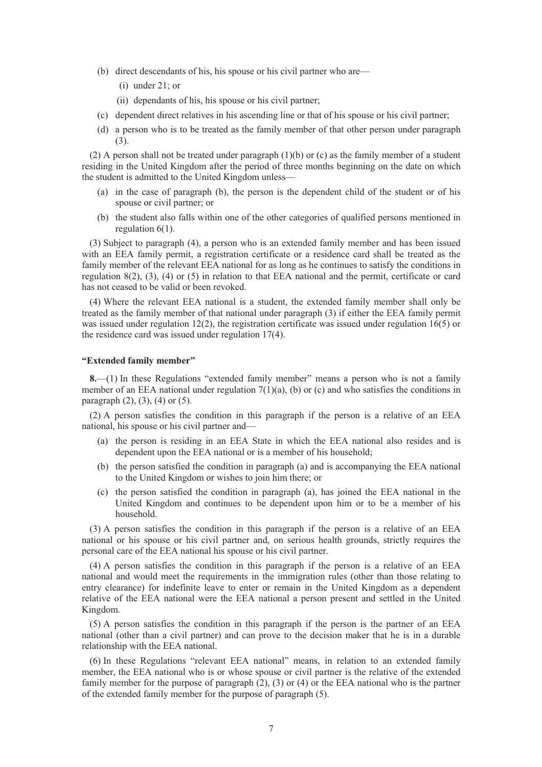- (b) direct descendants of his, his spouse or his civil partner who are—
	- (i) under 21; or
	- (ii) dependants of his, his spouse or his civil partner;
- (c) dependent direct relatives in his ascending line or that of his spouse or his civil partner;
- (d) a person who is to be treated as the family member of that other person under paragraph  $(3)$

(2) A person shall not be treated under paragraph  $(1)(b)$  or (c) as the family member of a student residing in the United Kingdom after the period of three months beginning on the date on which the student is admitted to the United Kingdom unless—

- (a) in the case of paragraph (b), the person is the dependent child of the student or of his spouse or civil partner; or
- (b) the student also falls within one of the other categories of qualified persons mentioned in regulation 6(1).

(3) Subject to paragraph (4), a person who is an extended family member and has been issued with an EEA family permit, a registration certificate or a residence card shall be treated as the family member of the relevant EEA national for as long as he continues to satisfy the conditions in regulation 8(2), (3), (4) or (5) in relation to that EEA national and the permit, certificate or card has not ceased to be valid or been revoked.

(4) Where the relevant EEA national is a student, the extended family member shall only be treated as the family member of that national under paragraph (3) if either the EEA family permit was issued under regulation 12(2), the registration certificate was issued under regulation 16(5) or the residence card was issued under regulation 17(4).

#### **"Extended family member"**

**8.**—(1) In these Regulations "extended family member" means a person who is not a family member of an EEA national under regulation  $7(1)(a)$ , (b) or (c) and who satisfies the conditions in paragraph (2), (3), (4) or (5).

(2) A person satisfies the condition in this paragraph if the person is a relative of an EEA national, his spouse or his civil partner and—

- (a) the person is residing in an EEA State in which the EEA national also resides and is dependent upon the EEA national or is a member of his household;
- (b) the person satisfied the condition in paragraph (a) and is accompanying the EEA national to the United Kingdom or wishes to join him there; or
- (c) the person satisfied the condition in paragraph (a), has joined the EEA national in the United Kingdom and continues to be dependent upon him or to be a member of his household.

(3) A person satisfies the condition in this paragraph if the person is a relative of an EEA national or his spouse or his civil partner and, on serious health grounds, strictly requires the personal care of the EEA national his spouse or his civil partner.

(4) A person satisfies the condition in this paragraph if the person is a relative of an EEA national and would meet the requirements in the immigration rules (other than those relating to entry clearance) for indefinite leave to enter or remain in the United Kingdom as a dependent relative of the EEA national were the EEA national a person present and settled in the United Kingdom.

(5) A person satisfies the condition in this paragraph if the person is the partner of an EEA national (other than a civil partner) and can prove to the decision maker that he is in a durable relationship with the EEA national.

(6) In these Regulations "relevant EEA national" means, in relation to an extended family member, the EEA national who is or whose spouse or civil partner is the relative of the extended family member for the purpose of paragraph (2), (3) or (4) or the EEA national who is the partner of the extended family member for the purpose of paragraph (5).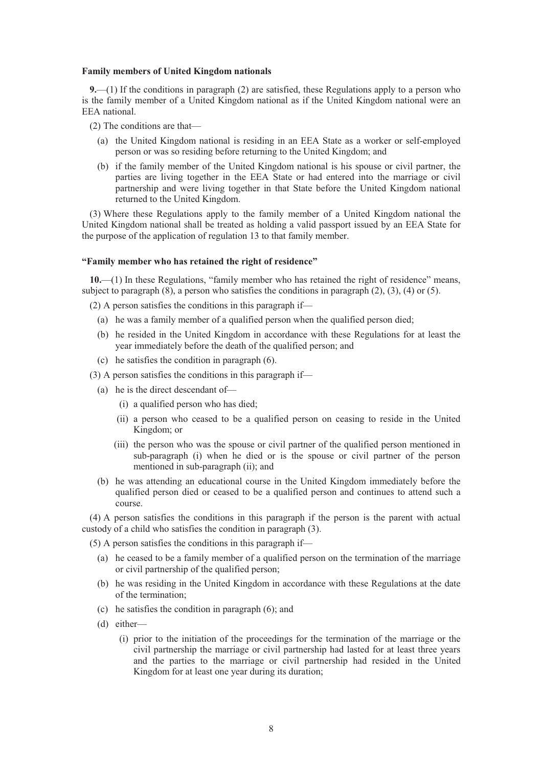#### **Family members of United Kingdom nationals**

**9.**—(1) If the conditions in paragraph (2) are satisfied, these Regulations apply to a person who is the family member of a United Kingdom national as if the United Kingdom national were an EEA national.

(2) The conditions are that—

- (a) the United Kingdom national is residing in an EEA State as a worker or self-employed person or was so residing before returning to the United Kingdom; and
- (b) if the family member of the United Kingdom national is his spouse or civil partner, the parties are living together in the EEA State or had entered into the marriage or civil partnership and were living together in that State before the United Kingdom national returned to the United Kingdom.

(3) Where these Regulations apply to the family member of a United Kingdom national the United Kingdom national shall be treated as holding a valid passport issued by an EEA State for the purpose of the application of regulation 13 to that family member.

#### **"Family member who has retained the right of residence"**

**10.**—(1) In these Regulations, "family member who has retained the right of residence" means, subject to paragraph  $(8)$ , a person who satisfies the conditions in paragraph  $(2)$ ,  $(3)$ ,  $(4)$  or  $(5)$ .

(2) A person satisfies the conditions in this paragraph if—

- (a) he was a family member of a qualified person when the qualified person died;
- (b) he resided in the United Kingdom in accordance with these Regulations for at least the year immediately before the death of the qualified person; and
- (c) he satisfies the condition in paragraph (6).
- (3) A person satisfies the conditions in this paragraph if—
	- (a) he is the direct descendant of—
		- (i) a qualified person who has died;
		- (ii) a person who ceased to be a qualified person on ceasing to reside in the United Kingdom; or
		- (iii) the person who was the spouse or civil partner of the qualified person mentioned in sub-paragraph (i) when he died or is the spouse or civil partner of the person mentioned in sub-paragraph (ii); and
	- (b) he was attending an educational course in the United Kingdom immediately before the qualified person died or ceased to be a qualified person and continues to attend such a course.

(4) A person satisfies the conditions in this paragraph if the person is the parent with actual custody of a child who satisfies the condition in paragraph (3).

(5) A person satisfies the conditions in this paragraph if—

- (a) he ceased to be a family member of a qualified person on the termination of the marriage or civil partnership of the qualified person;
- (b) he was residing in the United Kingdom in accordance with these Regulations at the date of the termination;
- (c) he satisfies the condition in paragraph (6); and
- (d) either—
	- (i) prior to the initiation of the proceedings for the termination of the marriage or the civil partnership the marriage or civil partnership had lasted for at least three years and the parties to the marriage or civil partnership had resided in the United Kingdom for at least one year during its duration;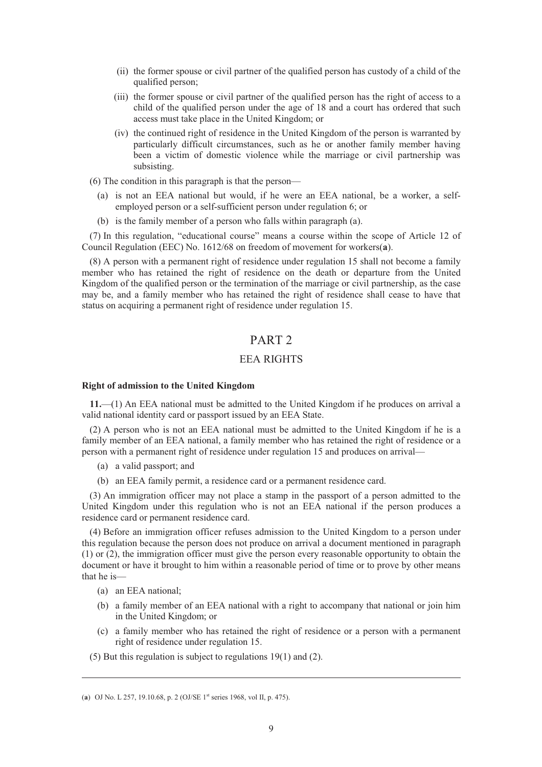- (ii) the former spouse or civil partner of the qualified person has custody of a child of the qualified person;
- (iii) the former spouse or civil partner of the qualified person has the right of access to a child of the qualified person under the age of 18 and a court has ordered that such access must take place in the United Kingdom; or
- (iv) the continued right of residence in the United Kingdom of the person is warranted by particularly difficult circumstances, such as he or another family member having been a victim of domestic violence while the marriage or civil partnership was subsisting.

(6) The condition in this paragraph is that the person—

- (a) is not an EEA national but would, if he were an EEA national, be a worker, a selfemployed person or a self-sufficient person under regulation 6; or
- (b) is the family member of a person who falls within paragraph (a).

(7) In this regulation, "educational course" means a course within the scope of Article 12 of Council Regulation (EEC) No. 1612/68 on freedom of movement for workers(**a**).

(8) A person with a permanent right of residence under regulation 15 shall not become a family member who has retained the right of residence on the death or departure from the United Kingdom of the qualified person or the termination of the marriage or civil partnership, as the case may be, and a family member who has retained the right of residence shall cease to have that status on acquiring a permanent right of residence under regulation 15.

## PART 2

## EEA RIGHTS

#### **Right of admission to the United Kingdom**

**11.**—(1) An EEA national must be admitted to the United Kingdom if he produces on arrival a valid national identity card or passport issued by an EEA State.

(2) A person who is not an EEA national must be admitted to the United Kingdom if he is a family member of an EEA national, a family member who has retained the right of residence or a person with a permanent right of residence under regulation 15 and produces on arrival—

- (a) a valid passport; and
- (b) an EEA family permit, a residence card or a permanent residence card.

(3) An immigration officer may not place a stamp in the passport of a person admitted to the United Kingdom under this regulation who is not an EEA national if the person produces a residence card or permanent residence card.

(4) Before an immigration officer refuses admission to the United Kingdom to a person under this regulation because the person does not produce on arrival a document mentioned in paragraph (1) or (2), the immigration officer must give the person every reasonable opportunity to obtain the document or have it brought to him within a reasonable period of time or to prove by other means that he is—

(a) an EEA national;

-

- (b) a family member of an EEA national with a right to accompany that national or join him in the United Kingdom; or
- (c) a family member who has retained the right of residence or a person with a permanent right of residence under regulation 15.

(5) But this regulation is subject to regulations 19(1) and (2).

<sup>(</sup>**a**) OJ No. L 257, 19.10.68, p. 2 (OJ/SE 1st series 1968, vol II, p. 475).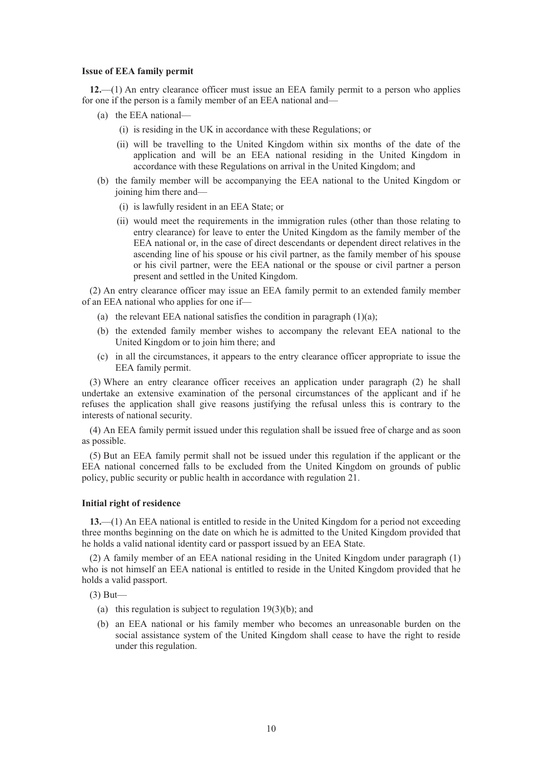#### **Issue of EEA family permit**

**12.**—(1) An entry clearance officer must issue an EEA family permit to a person who applies for one if the person is a family member of an EEA national and—

- (a) the EEA national—
	- (i) is residing in the UK in accordance with these Regulations; or
	- (ii) will be travelling to the United Kingdom within six months of the date of the application and will be an EEA national residing in the United Kingdom in accordance with these Regulations on arrival in the United Kingdom; and
- (b) the family member will be accompanying the EEA national to the United Kingdom or joining him there and—
	- (i) is lawfully resident in an EEA State; or
	- (ii) would meet the requirements in the immigration rules (other than those relating to entry clearance) for leave to enter the United Kingdom as the family member of the EEA national or, in the case of direct descendants or dependent direct relatives in the ascending line of his spouse or his civil partner, as the family member of his spouse or his civil partner, were the EEA national or the spouse or civil partner a person present and settled in the United Kingdom.

(2) An entry clearance officer may issue an EEA family permit to an extended family member of an EEA national who applies for one if—

- (a) the relevant EEA national satisfies the condition in paragraph  $(1)(a)$ ;
- (b) the extended family member wishes to accompany the relevant EEA national to the United Kingdom or to join him there; and
- (c) in all the circumstances, it appears to the entry clearance officer appropriate to issue the EEA family permit.

(3) Where an entry clearance officer receives an application under paragraph (2) he shall undertake an extensive examination of the personal circumstances of the applicant and if he refuses the application shall give reasons justifying the refusal unless this is contrary to the interests of national security.

(4) An EEA family permit issued under this regulation shall be issued free of charge and as soon as possible.

(5) But an EEA family permit shall not be issued under this regulation if the applicant or the EEA national concerned falls to be excluded from the United Kingdom on grounds of public policy, public security or public health in accordance with regulation 21.

#### **Initial right of residence**

**13.**—(1) An EEA national is entitled to reside in the United Kingdom for a period not exceeding three months beginning on the date on which he is admitted to the United Kingdom provided that he holds a valid national identity card or passport issued by an EEA State.

(2) A family member of an EEA national residing in the United Kingdom under paragraph (1) who is not himself an EEA national is entitled to reside in the United Kingdom provided that he holds a valid passport.

(3) But—

- (a) this regulation is subject to regulation  $19(3)(b)$ ; and
- (b) an EEA national or his family member who becomes an unreasonable burden on the social assistance system of the United Kingdom shall cease to have the right to reside under this regulation.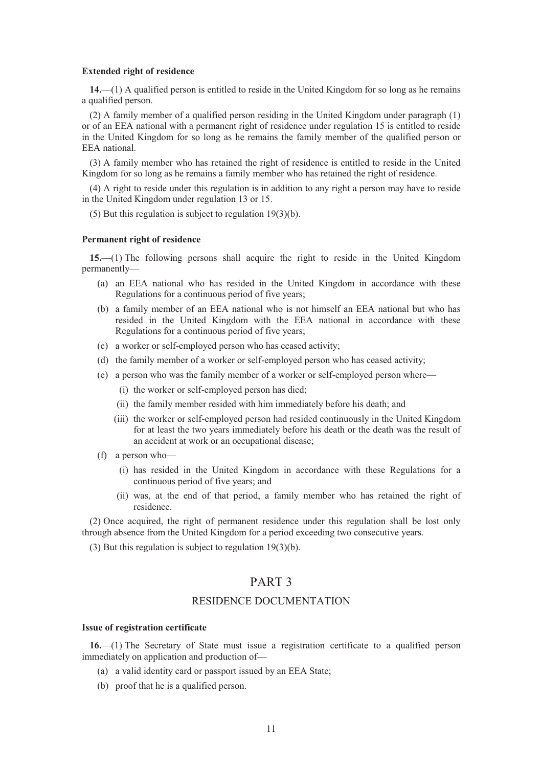#### **Extended right of residence**

**14.**—(1) A qualified person is entitled to reside in the United Kingdom for so long as he remains a qualified person.

(2) A family member of a qualified person residing in the United Kingdom under paragraph (1) or of an EEA national with a permanent right of residence under regulation 15 is entitled to reside in the United Kingdom for so long as he remains the family member of the qualified person or EEA national.

(3) A family member who has retained the right of residence is entitled to reside in the United Kingdom for so long as he remains a family member who has retained the right of residence.

(4) A right to reside under this regulation is in addition to any right a person may have to reside in the United Kingdom under regulation 13 or 15.

(5) But this regulation is subject to regulation 19(3)(b).

#### **Permanent right of residence**

**15.**—(1) The following persons shall acquire the right to reside in the United Kingdom permanently—

- (a) an EEA national who has resided in the United Kingdom in accordance with these Regulations for a continuous period of five years;
- (b) a family member of an EEA national who is not himself an EEA national but who has resided in the United Kingdom with the EEA national in accordance with these Regulations for a continuous period of five years;
- (c) a worker or self-employed person who has ceased activity;
- (d) the family member of a worker or self-employed person who has ceased activity;
- (e) a person who was the family member of a worker or self-employed person where—
	- (i) the worker or self-employed person has died;
	- (ii) the family member resided with him immediately before his death; and
	- (iii) the worker or self-employed person had resided continuously in the United Kingdom for at least the two years immediately before his death or the death was the result of an accident at work or an occupational disease;
- (f) a person who—
	- (i) has resided in the United Kingdom in accordance with these Regulations for a continuous period of five years; and
	- (ii) was, at the end of that period, a family member who has retained the right of residence.

(2) Once acquired, the right of permanent residence under this regulation shall be lost only through absence from the United Kingdom for a period exceeding two consecutive years.

(3) But this regulation is subject to regulation 19(3)(b).

## PART 3

#### RESIDENCE DOCUMENTATION

#### **Issue of registration certificate**

**16.**—(1) The Secretary of State must issue a registration certificate to a qualified person immediately on application and production of—

- (a) a valid identity card or passport issued by an EEA State;
- (b) proof that he is a qualified person.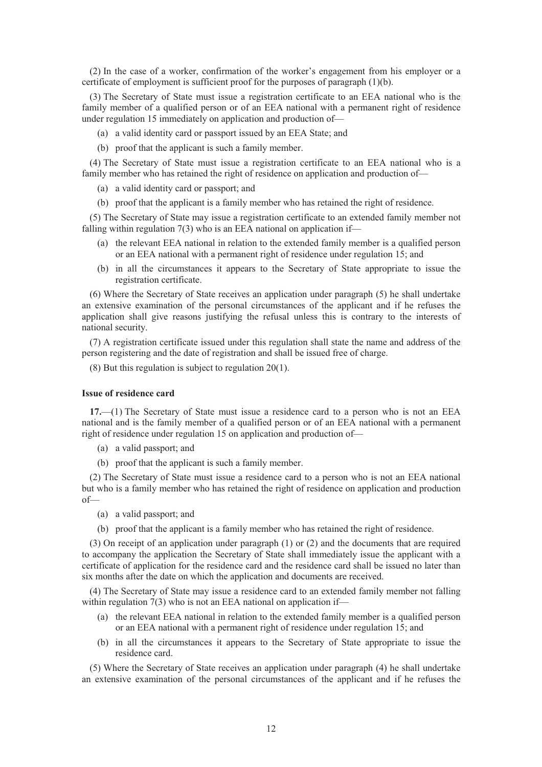(2) In the case of a worker, confirmation of the worker's engagement from his employer or a certificate of employment is sufficient proof for the purposes of paragraph (1)(b).

(3) The Secretary of State must issue a registration certificate to an EEA national who is the family member of a qualified person or of an EEA national with a permanent right of residence under regulation 15 immediately on application and production of—

- (a) a valid identity card or passport issued by an EEA State; and
- (b) proof that the applicant is such a family member.

(4) The Secretary of State must issue a registration certificate to an EEA national who is a family member who has retained the right of residence on application and production of—

- (a) a valid identity card or passport; and
- (b) proof that the applicant is a family member who has retained the right of residence.

(5) The Secretary of State may issue a registration certificate to an extended family member not falling within regulation  $7(3)$  who is an EEA national on application if—

- (a) the relevant EEA national in relation to the extended family member is a qualified person or an EEA national with a permanent right of residence under regulation 15; and
- (b) in all the circumstances it appears to the Secretary of State appropriate to issue the registration certificate.

(6) Where the Secretary of State receives an application under paragraph (5) he shall undertake an extensive examination of the personal circumstances of the applicant and if he refuses the application shall give reasons justifying the refusal unless this is contrary to the interests of national security.

(7) A registration certificate issued under this regulation shall state the name and address of the person registering and the date of registration and shall be issued free of charge.

(8) But this regulation is subject to regulation 20(1).

#### **Issue of residence card**

**17.**—(1) The Secretary of State must issue a residence card to a person who is not an EEA national and is the family member of a qualified person or of an EEA national with a permanent right of residence under regulation 15 on application and production of—

- (a) a valid passport; and
- (b) proof that the applicant is such a family member.

(2) The Secretary of State must issue a residence card to a person who is not an EEA national but who is a family member who has retained the right of residence on application and production of—

- (a) a valid passport; and
- (b) proof that the applicant is a family member who has retained the right of residence.

(3) On receipt of an application under paragraph (1) or (2) and the documents that are required to accompany the application the Secretary of State shall immediately issue the applicant with a certificate of application for the residence card and the residence card shall be issued no later than six months after the date on which the application and documents are received.

(4) The Secretary of State may issue a residence card to an extended family member not falling within regulation 7(3) who is not an EEA national on application if—

- (a) the relevant EEA national in relation to the extended family member is a qualified person or an EEA national with a permanent right of residence under regulation 15; and
- (b) in all the circumstances it appears to the Secretary of State appropriate to issue the residence card.

(5) Where the Secretary of State receives an application under paragraph (4) he shall undertake an extensive examination of the personal circumstances of the applicant and if he refuses the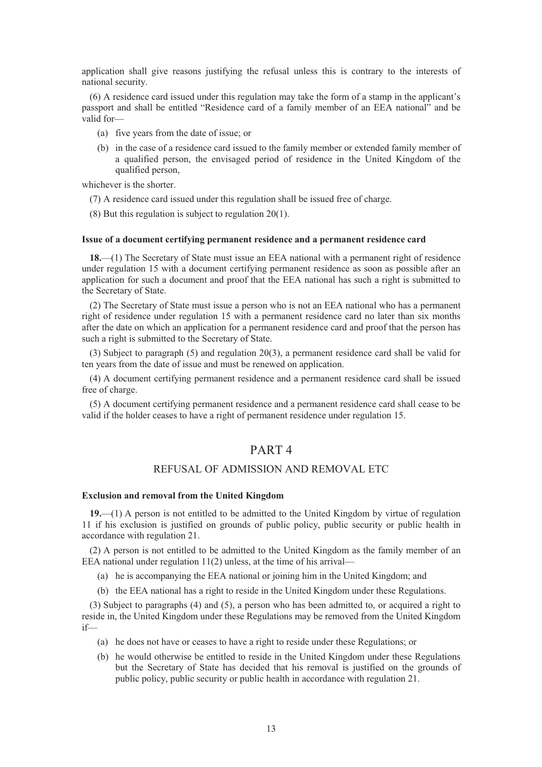application shall give reasons justifying the refusal unless this is contrary to the interests of national security.

(6) A residence card issued under this regulation may take the form of a stamp in the applicant's passport and shall be entitled "Residence card of a family member of an EEA national" and be valid for—

- (a) five years from the date of issue; or
- (b) in the case of a residence card issued to the family member or extended family member of a qualified person, the envisaged period of residence in the United Kingdom of the qualified person,

whichever is the shorter.

- (7) A residence card issued under this regulation shall be issued free of charge.
- (8) But this regulation is subject to regulation 20(1).

#### **Issue of a document certifying permanent residence and a permanent residence card**

**18.**—(1) The Secretary of State must issue an EEA national with a permanent right of residence under regulation 15 with a document certifying permanent residence as soon as possible after an application for such a document and proof that the EEA national has such a right is submitted to the Secretary of State.

(2) The Secretary of State must issue a person who is not an EEA national who has a permanent right of residence under regulation 15 with a permanent residence card no later than six months after the date on which an application for a permanent residence card and proof that the person has such a right is submitted to the Secretary of State.

(3) Subject to paragraph (5) and regulation 20(3), a permanent residence card shall be valid for ten years from the date of issue and must be renewed on application.

(4) A document certifying permanent residence and a permanent residence card shall be issued free of charge.

(5) A document certifying permanent residence and a permanent residence card shall cease to be valid if the holder ceases to have a right of permanent residence under regulation 15.

## PART 4

## REFUSAL OF ADMISSION AND REMOVAL ETC

#### **Exclusion and removal from the United Kingdom**

**19.**—(1) A person is not entitled to be admitted to the United Kingdom by virtue of regulation 11 if his exclusion is justified on grounds of public policy, public security or public health in accordance with regulation 21.

(2) A person is not entitled to be admitted to the United Kingdom as the family member of an EEA national under regulation 11(2) unless, at the time of his arrival—

- (a) he is accompanying the EEA national or joining him in the United Kingdom; and
- (b) the EEA national has a right to reside in the United Kingdom under these Regulations.

(3) Subject to paragraphs (4) and (5), a person who has been admitted to, or acquired a right to reside in, the United Kingdom under these Regulations may be removed from the United Kingdom if—

- (a) he does not have or ceases to have a right to reside under these Regulations; or
- (b) he would otherwise be entitled to reside in the United Kingdom under these Regulations but the Secretary of State has decided that his removal is justified on the grounds of public policy, public security or public health in accordance with regulation 21.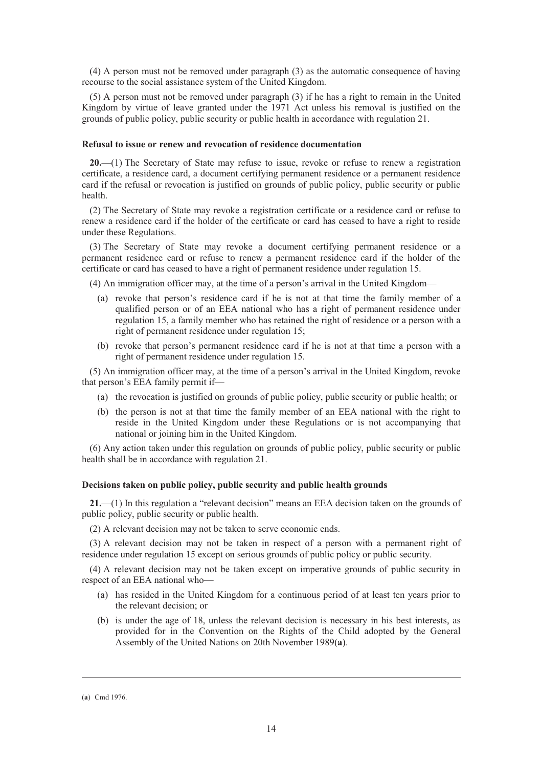(4) A person must not be removed under paragraph (3) as the automatic consequence of having recourse to the social assistance system of the United Kingdom.

(5) A person must not be removed under paragraph (3) if he has a right to remain in the United Kingdom by virtue of leave granted under the 1971 Act unless his removal is justified on the grounds of public policy, public security or public health in accordance with regulation 21.

#### **Refusal to issue or renew and revocation of residence documentation**

**20.**—(1) The Secretary of State may refuse to issue, revoke or refuse to renew a registration certificate, a residence card, a document certifying permanent residence or a permanent residence card if the refusal or revocation is justified on grounds of public policy, public security or public health.

(2) The Secretary of State may revoke a registration certificate or a residence card or refuse to renew a residence card if the holder of the certificate or card has ceased to have a right to reside under these Regulations.

(3) The Secretary of State may revoke a document certifying permanent residence or a permanent residence card or refuse to renew a permanent residence card if the holder of the certificate or card has ceased to have a right of permanent residence under regulation 15.

(4) An immigration officer may, at the time of a person's arrival in the United Kingdom—

- (a) revoke that person's residence card if he is not at that time the family member of a qualified person or of an EEA national who has a right of permanent residence under regulation 15, a family member who has retained the right of residence or a person with a right of permanent residence under regulation 15;
- (b) revoke that person's permanent residence card if he is not at that time a person with a right of permanent residence under regulation 15.

(5) An immigration officer may, at the time of a person's arrival in the United Kingdom, revoke that person's EEA family permit if—

- (a) the revocation is justified on grounds of public policy, public security or public health; or
- (b) the person is not at that time the family member of an EEA national with the right to reside in the United Kingdom under these Regulations or is not accompanying that national or joining him in the United Kingdom.

(6) Any action taken under this regulation on grounds of public policy, public security or public health shall be in accordance with regulation 21.

#### **Decisions taken on public policy, public security and public health grounds**

**21.**—(1) In this regulation a "relevant decision" means an EEA decision taken on the grounds of public policy, public security or public health.

(2) A relevant decision may not be taken to serve economic ends.

(3) A relevant decision may not be taken in respect of a person with a permanent right of residence under regulation 15 except on serious grounds of public policy or public security.

(4) A relevant decision may not be taken except on imperative grounds of public security in respect of an EEA national who—

- (a) has resided in the United Kingdom for a continuous period of at least ten years prior to the relevant decision; or
- (b) is under the age of 18, unless the relevant decision is necessary in his best interests, as provided for in the Convention on the Rights of the Child adopted by the General Assembly of the United Nations on 20th November 1989(**a**).

<sup>(</sup>**a**) Cmd 1976.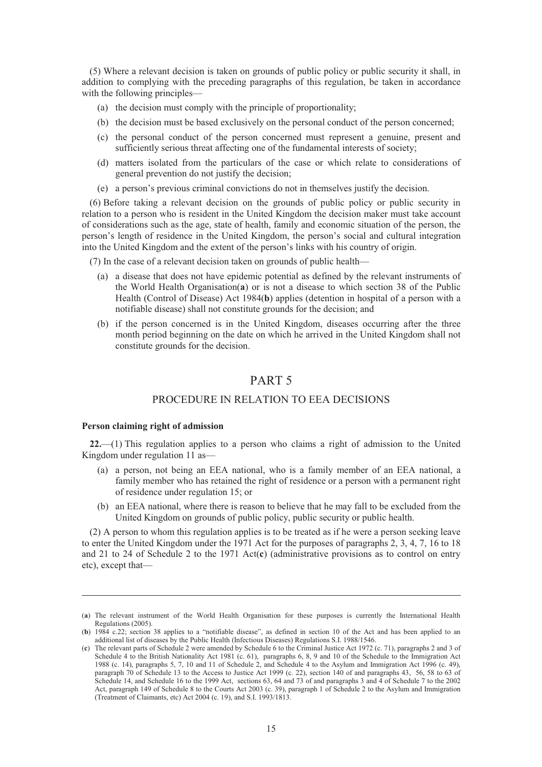(5) Where a relevant decision is taken on grounds of public policy or public security it shall, in addition to complying with the preceding paragraphs of this regulation, be taken in accordance with the following principles—

- (a) the decision must comply with the principle of proportionality;
- (b) the decision must be based exclusively on the personal conduct of the person concerned;
- (c) the personal conduct of the person concerned must represent a genuine, present and sufficiently serious threat affecting one of the fundamental interests of society;
- (d) matters isolated from the particulars of the case or which relate to considerations of general prevention do not justify the decision;
- (e) a person's previous criminal convictions do not in themselves justify the decision.

(6) Before taking a relevant decision on the grounds of public policy or public security in relation to a person who is resident in the United Kingdom the decision maker must take account of considerations such as the age, state of health, family and economic situation of the person, the person's length of residence in the United Kingdom, the person's social and cultural integration into the United Kingdom and the extent of the person's links with his country of origin.

(7) In the case of a relevant decision taken on grounds of public health—

- (a) a disease that does not have epidemic potential as defined by the relevant instruments of the World Health Organisation(**a**) or is not a disease to which section 38 of the Public Health (Control of Disease) Act 1984(**b**) applies (detention in hospital of a person with a notifiable disease) shall not constitute grounds for the decision; and
- (b) if the person concerned is in the United Kingdom, diseases occurring after the three month period beginning on the date on which he arrived in the United Kingdom shall not constitute grounds for the decision.

## PART 5

#### PROCEDURE IN RELATION TO EEA DECISIONS

#### **Person claiming right of admission**

-

**22.**—(1) This regulation applies to a person who claims a right of admission to the United Kingdom under regulation 11 as—

- (a) a person, not being an EEA national, who is a family member of an EEA national, a family member who has retained the right of residence or a person with a permanent right of residence under regulation 15; or
- (b) an EEA national, where there is reason to believe that he may fall to be excluded from the United Kingdom on grounds of public policy, public security or public health.

(2) A person to whom this regulation applies is to be treated as if he were a person seeking leave to enter the United Kingdom under the 1971 Act for the purposes of paragraphs 2, 3, 4, 7, 16 to 18 and 21 to 24 of Schedule 2 to the 1971 Act(**c**) (administrative provisions as to control on entry etc), except that—

<sup>(</sup>**a**) The relevant instrument of the World Health Organisation for these purposes is currently the International Health Regulations (2005).

<sup>(</sup>**b**) 1984 c.22; section 38 applies to a "notifiable disease", as defined in section 10 of the Act and has been applied to an additional list of diseases by the Public Health (Infectious Diseases) Regulations S.I. 1988/1546.

<sup>(</sup>**c**) The relevant parts of Schedule 2 were amended by Schedule 6 to the Criminal Justice Act 1972 (c. 71), paragraphs 2 and 3 of Schedule 4 to the British Nationality Act 1981 (c. 61), paragraphs 6, 8, 9 and 10 of the Schedule to the Immigration Act 1988 (c. 14), paragraphs 5, 7, 10 and 11 of Schedule 2, and Schedule 4 to the Asylum and Immigration Act 1996 (c. 49), paragraph 70 of Schedule 13 to the Access to Justice Act 1999 (c. 22), section 140 of and paragraphs 43, 56, 58 to 63 of Schedule 14, and Schedule 16 to the 1999 Act, sections 63, 64 and 73 of and paragraphs 3 and 4 of Schedule 7 to the 2002 Act, paragraph 149 of Schedule 8 to the Courts Act 2003 (c. 39), paragraph 1 of Schedule 2 to the Asylum and Immigration (Treatment of Claimants, etc) Act 2004 (c. 19), and S.I. 1993/1813.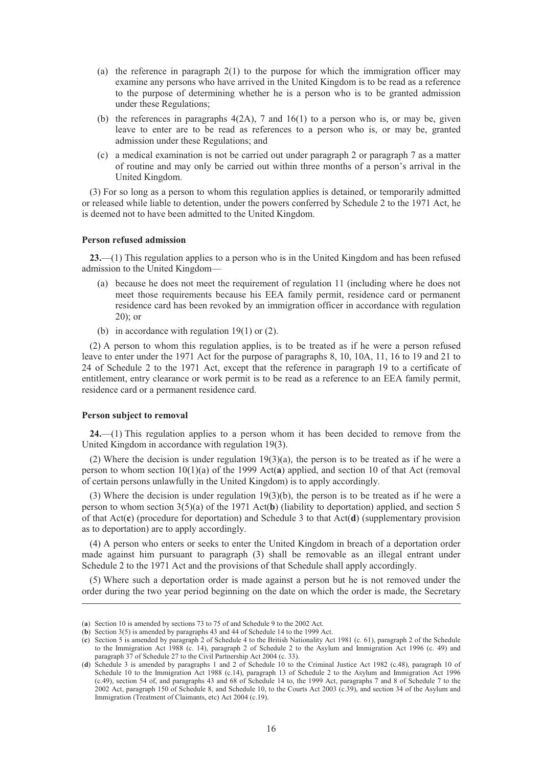- (a) the reference in paragraph 2(1) to the purpose for which the immigration officer may examine any persons who have arrived in the United Kingdom is to be read as a reference to the purpose of determining whether he is a person who is to be granted admission under these Regulations;
- (b) the references in paragraphs  $4(2A)$ , 7 and  $16(1)$  to a person who is, or may be, given leave to enter are to be read as references to a person who is, or may be, granted admission under these Regulations; and
- (c) a medical examination is not be carried out under paragraph 2 or paragraph 7 as a matter of routine and may only be carried out within three months of a person's arrival in the United Kingdom.

(3) For so long as a person to whom this regulation applies is detained, or temporarily admitted or released while liable to detention, under the powers conferred by Schedule 2 to the 1971 Act, he is deemed not to have been admitted to the United Kingdom.

#### **Person refused admission**

**23.**—(1) This regulation applies to a person who is in the United Kingdom and has been refused admission to the United Kingdom—

- (a) because he does not meet the requirement of regulation 11 (including where he does not meet those requirements because his EEA family permit, residence card or permanent residence card has been revoked by an immigration officer in accordance with regulation 20); or
- (b) in accordance with regulation 19(1) or (2).

(2) A person to whom this regulation applies, is to be treated as if he were a person refused leave to enter under the 1971 Act for the purpose of paragraphs 8, 10, 10A, 11, 16 to 19 and 21 to 24 of Schedule 2 to the 1971 Act, except that the reference in paragraph 19 to a certificate of entitlement, entry clearance or work permit is to be read as a reference to an EEA family permit, residence card or a permanent residence card.

#### **Person subject to removal**

-

**24.**—(1) This regulation applies to a person whom it has been decided to remove from the United Kingdom in accordance with regulation 19(3).

(2) Where the decision is under regulation  $19(3)(a)$ , the person is to be treated as if he were a person to whom section 10(1)(a) of the 1999 Act(**a**) applied, and section 10 of that Act (removal of certain persons unlawfully in the United Kingdom) is to apply accordingly.

(3) Where the decision is under regulation 19(3)(b), the person is to be treated as if he were a person to whom section 3(5)(a) of the 1971 Act(**b**) (liability to deportation) applied, and section 5 of that Act(**c**) (procedure for deportation) and Schedule 3 to that Act(**d**) (supplementary provision as to deportation) are to apply accordingly.

(4) A person who enters or seeks to enter the United Kingdom in breach of a deportation order made against him pursuant to paragraph (3) shall be removable as an illegal entrant under Schedule 2 to the 1971 Act and the provisions of that Schedule shall apply accordingly.

(5) Where such a deportation order is made against a person but he is not removed under the order during the two year period beginning on the date on which the order is made, the Secretary

<sup>(</sup>**a**) Section 10 is amended by sections 73 to 75 of and Schedule 9 to the 2002 Act.

<sup>(</sup>**b**) Section 3(5) is amended by paragraphs 43 and 44 of Schedule 14 to the 1999 Act.

<sup>(</sup>**c**) Section 5 is amended by paragraph 2 of Schedule 4 to the British Nationality Act 1981 (c. 61), paragraph 2 of the Schedule to the Immigration Act 1988 (c. 14), paragraph 2 of Schedule 2 to the Asylum and Immigration Act 1996 (c. 49) and paragraph 37 of Schedule 27 to the Civil Partnership Act 2004 (c. 33).

<sup>(</sup>**d**) Schedule 3 is amended by paragraphs 1 and 2 of Schedule 10 to the Criminal Justice Act 1982 (c.48), paragraph 10 of Schedule 10 to the Immigration Act 1988 (c.14), paragraph 13 of Schedule 2 to the Asylum and Immigration Act 1996 (c.49), section 54 of, and paragraphs 43 and 68 of Schedule 14 to, the 1999 Act, paragraphs 7 and 8 of Schedule 7 to the 2002 Act, paragraph 150 of Schedule 8, and Schedule 10, to the Courts Act 2003 (c.39), and section 34 of the Asylum and Immigration (Treatment of Claimants, etc) Act 2004 (c.19).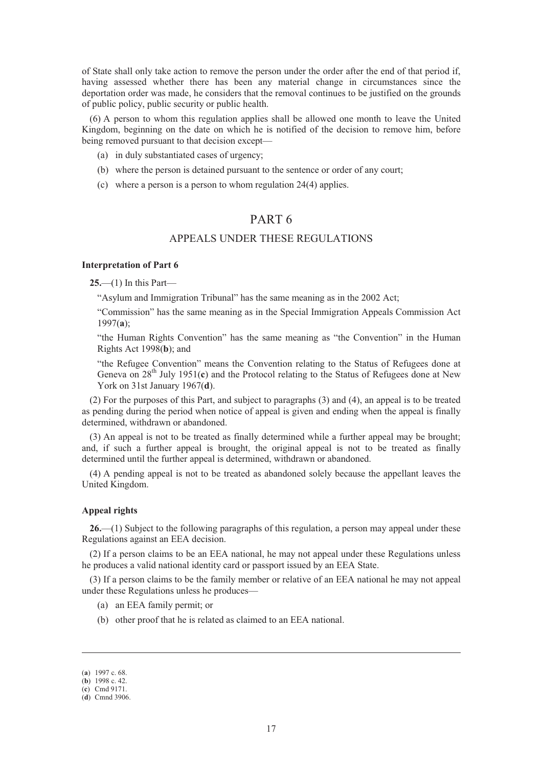of State shall only take action to remove the person under the order after the end of that period if, having assessed whether there has been any material change in circumstances since the deportation order was made, he considers that the removal continues to be justified on the grounds of public policy, public security or public health.

(6) A person to whom this regulation applies shall be allowed one month to leave the United Kingdom, beginning on the date on which he is notified of the decision to remove him, before being removed pursuant to that decision except—

- (a) in duly substantiated cases of urgency;
- (b) where the person is detained pursuant to the sentence or order of any court;
- (c) where a person is a person to whom regulation 24(4) applies.

## PART 6

#### APPEALS UNDER THESE REGULATIONS

#### **Interpretation of Part 6**

**25.**—(1) In this Part—

"Asylum and Immigration Tribunal" has the same meaning as in the 2002 Act;

"Commission" has the same meaning as in the Special Immigration Appeals Commission Act 1997(**a**);

"the Human Rights Convention" has the same meaning as "the Convention" in the Human Rights Act 1998(**b**); and

"the Refugee Convention" means the Convention relating to the Status of Refugees done at Geneva on 28<sup>th</sup> July 1951(c) and the Protocol relating to the Status of Refugees done at New York on 31st January 1967(**d**).

(2) For the purposes of this Part, and subject to paragraphs (3) and (4), an appeal is to be treated as pending during the period when notice of appeal is given and ending when the appeal is finally determined, withdrawn or abandoned.

(3) An appeal is not to be treated as finally determined while a further appeal may be brought; and, if such a further appeal is brought, the original appeal is not to be treated as finally determined until the further appeal is determined, withdrawn or abandoned.

(4) A pending appeal is not to be treated as abandoned solely because the appellant leaves the United Kingdom.

#### **Appeal rights**

**26.**—(1) Subject to the following paragraphs of this regulation, a person may appeal under these Regulations against an EEA decision.

(2) If a person claims to be an EEA national, he may not appeal under these Regulations unless he produces a valid national identity card or passport issued by an EEA State.

(3) If a person claims to be the family member or relative of an EEA national he may not appeal under these Regulations unless he produces—

- (a) an EEA family permit; or
- (b) other proof that he is related as claimed to an EEA national.

<sup>(</sup>**a**) 1997 c. 68.

<sup>(</sup>**b**) 1998 c. 42.

<sup>(</sup>**c**) Cmd 9171.

<sup>(</sup>**d**) Cmnd 3906.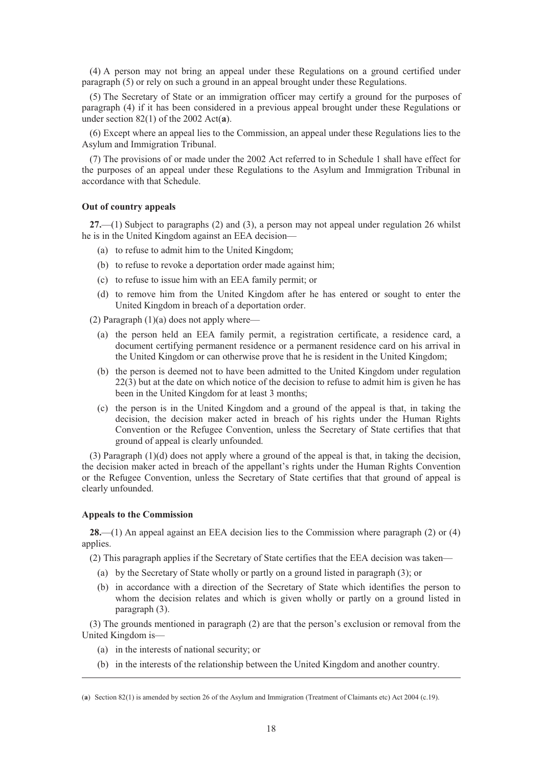(4) A person may not bring an appeal under these Regulations on a ground certified under paragraph (5) or rely on such a ground in an appeal brought under these Regulations.

(5) The Secretary of State or an immigration officer may certify a ground for the purposes of paragraph (4) if it has been considered in a previous appeal brought under these Regulations or under section 82(1) of the 2002 Act(**a**).

(6) Except where an appeal lies to the Commission, an appeal under these Regulations lies to the Asylum and Immigration Tribunal.

(7) The provisions of or made under the 2002 Act referred to in Schedule 1 shall have effect for the purposes of an appeal under these Regulations to the Asylum and Immigration Tribunal in accordance with that Schedule.

#### **Out of country appeals**

**27.**—(1) Subject to paragraphs (2) and (3), a person may not appeal under regulation 26 whilst he is in the United Kingdom against an EEA decision—

- (a) to refuse to admit him to the United Kingdom;
- (b) to refuse to revoke a deportation order made against him;
- (c) to refuse to issue him with an EEA family permit; or
- (d) to remove him from the United Kingdom after he has entered or sought to enter the United Kingdom in breach of a deportation order.

(2) Paragraph  $(1)(a)$  does not apply where—

- (a) the person held an EEA family permit, a registration certificate, a residence card, a document certifying permanent residence or a permanent residence card on his arrival in the United Kingdom or can otherwise prove that he is resident in the United Kingdom;
- (b) the person is deemed not to have been admitted to the United Kingdom under regulation 22(3) but at the date on which notice of the decision to refuse to admit him is given he has been in the United Kingdom for at least 3 months;
- (c) the person is in the United Kingdom and a ground of the appeal is that, in taking the decision, the decision maker acted in breach of his rights under the Human Rights Convention or the Refugee Convention, unless the Secretary of State certifies that that ground of appeal is clearly unfounded.

(3) Paragraph (1)(d) does not apply where a ground of the appeal is that, in taking the decision, the decision maker acted in breach of the appellant's rights under the Human Rights Convention or the Refugee Convention, unless the Secretary of State certifies that that ground of appeal is clearly unfounded.

#### **Appeals to the Commission**

-

**28.**—(1) An appeal against an EEA decision lies to the Commission where paragraph (2) or (4) applies.

(2) This paragraph applies if the Secretary of State certifies that the EEA decision was taken—

- (a) by the Secretary of State wholly or partly on a ground listed in paragraph (3); or
- (b) in accordance with a direction of the Secretary of State which identifies the person to whom the decision relates and which is given wholly or partly on a ground listed in paragraph (3).

(3) The grounds mentioned in paragraph (2) are that the person's exclusion or removal from the United Kingdom is—

- (a) in the interests of national security; or
- (b) in the interests of the relationship between the United Kingdom and another country.

<sup>(</sup>**a**) Section 82(1) is amended by section 26 of the Asylum and Immigration (Treatment of Claimants etc) Act 2004 (c.19).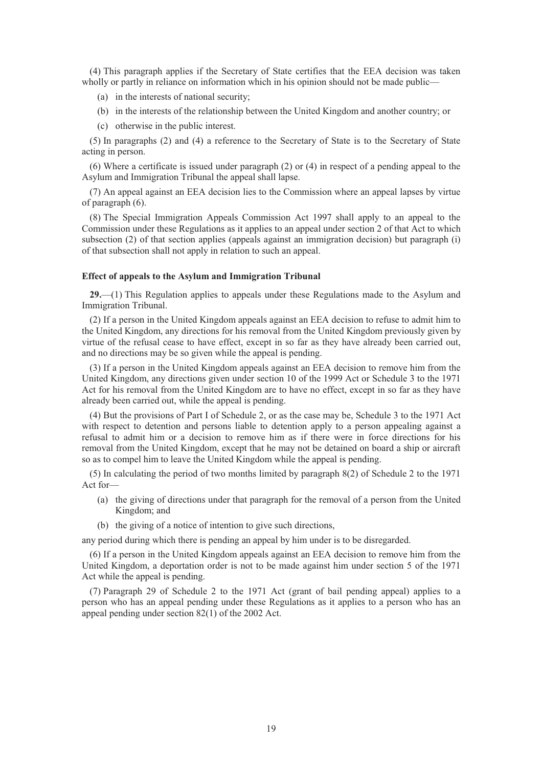(4) This paragraph applies if the Secretary of State certifies that the EEA decision was taken wholly or partly in reliance on information which in his opinion should not be made public—

- (a) in the interests of national security;
- (b) in the interests of the relationship between the United Kingdom and another country; or
- (c) otherwise in the public interest.

(5) In paragraphs (2) and (4) a reference to the Secretary of State is to the Secretary of State acting in person.

(6) Where a certificate is issued under paragraph (2) or (4) in respect of a pending appeal to the Asylum and Immigration Tribunal the appeal shall lapse.

(7) An appeal against an EEA decision lies to the Commission where an appeal lapses by virtue of paragraph (6).

(8) The Special Immigration Appeals Commission Act 1997 shall apply to an appeal to the Commission under these Regulations as it applies to an appeal under section 2 of that Act to which subsection (2) of that section applies (appeals against an immigration decision) but paragraph (i) of that subsection shall not apply in relation to such an appeal.

#### **Effect of appeals to the Asylum and Immigration Tribunal**

**29.**—(1) This Regulation applies to appeals under these Regulations made to the Asylum and Immigration Tribunal.

(2) If a person in the United Kingdom appeals against an EEA decision to refuse to admit him to the United Kingdom, any directions for his removal from the United Kingdom previously given by virtue of the refusal cease to have effect, except in so far as they have already been carried out, and no directions may be so given while the appeal is pending.

(3) If a person in the United Kingdom appeals against an EEA decision to remove him from the United Kingdom, any directions given under section 10 of the 1999 Act or Schedule 3 to the 1971 Act for his removal from the United Kingdom are to have no effect, except in so far as they have already been carried out, while the appeal is pending.

(4) But the provisions of Part I of Schedule 2, or as the case may be, Schedule 3 to the 1971 Act with respect to detention and persons liable to detention apply to a person appealing against a refusal to admit him or a decision to remove him as if there were in force directions for his removal from the United Kingdom, except that he may not be detained on board a ship or aircraft so as to compel him to leave the United Kingdom while the appeal is pending.

(5) In calculating the period of two months limited by paragraph 8(2) of Schedule 2 to the 1971 Act for—

- (a) the giving of directions under that paragraph for the removal of a person from the United Kingdom; and
- (b) the giving of a notice of intention to give such directions,

any period during which there is pending an appeal by him under is to be disregarded.

(6) If a person in the United Kingdom appeals against an EEA decision to remove him from the United Kingdom, a deportation order is not to be made against him under section 5 of the 1971 Act while the appeal is pending.

(7) Paragraph 29 of Schedule 2 to the 1971 Act (grant of bail pending appeal) applies to a person who has an appeal pending under these Regulations as it applies to a person who has an appeal pending under section 82(1) of the 2002 Act.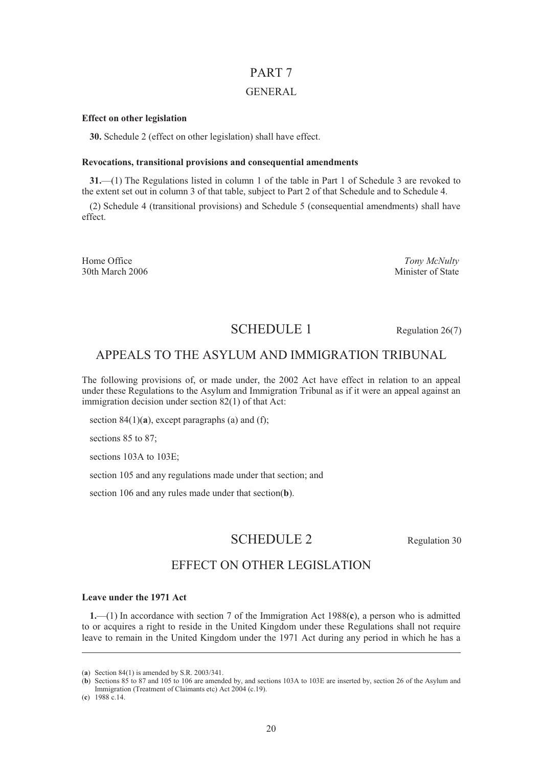## PART 7

## GENERAL

#### **Effect on other legislation**

**30.** Schedule 2 (effect on other legislation) shall have effect.

#### **Revocations, transitional provisions and consequential amendments**

**31.**—(1) The Regulations listed in column 1 of the table in Part 1 of Schedule 3 are revoked to the extent set out in column 3 of that table, subject to Part 2 of that Schedule and to Schedule 4.

(2) Schedule 4 (transitional provisions) and Schedule 5 (consequential amendments) shall have effect.

Home Office *Tony McNulty*  30th March 2006 Minister of State Minister of State Minister of State Minister of State Minister of State Minister of State  $\frac{1}{2}$ 

## SCHEDULE 1 Regulation 26(7)

## APPEALS TO THE ASYLUM AND IMMIGRATION TRIBUNAL

The following provisions of, or made under, the 2002 Act have effect in relation to an appeal under these Regulations to the Asylum and Immigration Tribunal as if it were an appeal against an immigration decision under section 82(1) of that Act:

section  $84(1)(a)$ , except paragraphs (a) and (f);

sections 85 to 87:

sections 103A to 103E;

section 105 and any regulations made under that section; and

section 106 and any rules made under that section(**b**).

## SCHEDULE 2 Regulation 30

## EFFECT ON OTHER LEGISLATION

#### **Leave under the 1971 Act**

**1.**—(1) In accordance with section 7 of the Immigration Act 1988(**c**), a person who is admitted to or acquires a right to reside in the United Kingdom under these Regulations shall not require leave to remain in the United Kingdom under the 1971 Act during any period in which he has a

<sup>(</sup>**a**) Section 84(1) is amended by S.R. 2003/341.

<sup>(</sup>**b**) Sections 85 to 87 and 105 to 106 are amended by, and sections 103A to 103E are inserted by, section 26 of the Asylum and Immigration (Treatment of Claimants etc) Act 2004 (c.19).

<sup>(</sup>**c**) 1988 c.14.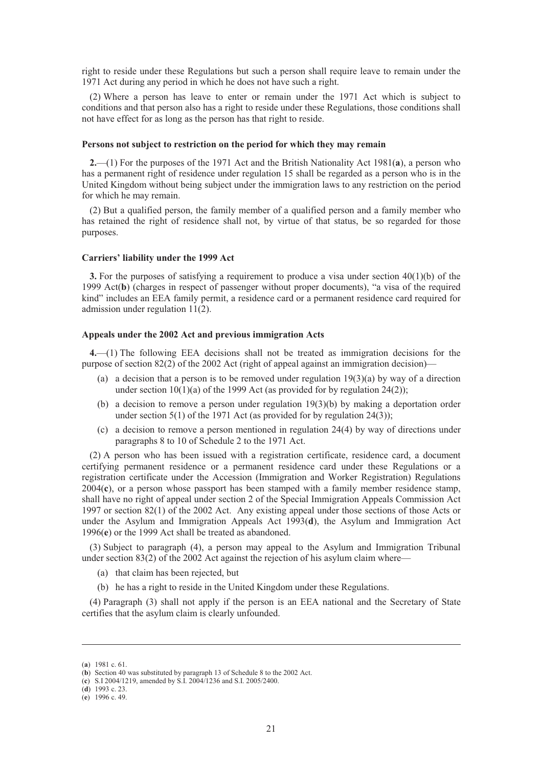right to reside under these Regulations but such a person shall require leave to remain under the 1971 Act during any period in which he does not have such a right.

(2) Where a person has leave to enter or remain under the 1971 Act which is subject to conditions and that person also has a right to reside under these Regulations, those conditions shall not have effect for as long as the person has that right to reside.

#### **Persons not subject to restriction on the period for which they may remain**

**2.**—(1) For the purposes of the 1971 Act and the British Nationality Act 1981(**a**), a person who has a permanent right of residence under regulation 15 shall be regarded as a person who is in the United Kingdom without being subject under the immigration laws to any restriction on the period for which he may remain.

(2) But a qualified person, the family member of a qualified person and a family member who has retained the right of residence shall not, by virtue of that status, be so regarded for those purposes.

#### **Carriers' liability under the 1999 Act**

**3.** For the purposes of satisfying a requirement to produce a visa under section 40(1)(b) of the 1999 Act(**b**) (charges in respect of passenger without proper documents), "a visa of the required kind" includes an EEA family permit, a residence card or a permanent residence card required for admission under regulation 11(2).

#### **Appeals under the 2002 Act and previous immigration Acts**

**4.**—(1) The following EEA decisions shall not be treated as immigration decisions for the purpose of section 82(2) of the 2002 Act (right of appeal against an immigration decision)—

- (a) a decision that a person is to be removed under regulation  $19(3)(a)$  by way of a direction under section  $10(1)(a)$  of the 1999 Act (as provided for by regulation 24(2));
- (b) a decision to remove a person under regulation 19(3)(b) by making a deportation order under section 5(1) of the 1971 Act (as provided for by regulation 24(3));
- (c) a decision to remove a person mentioned in regulation 24(4) by way of directions under paragraphs 8 to 10 of Schedule 2 to the 1971 Act.

(2) A person who has been issued with a registration certificate, residence card, a document certifying permanent residence or a permanent residence card under these Regulations or a registration certificate under the Accession (Immigration and Worker Registration) Regulations 2004(**c**), or a person whose passport has been stamped with a family member residence stamp, shall have no right of appeal under section 2 of the Special Immigration Appeals Commission Act 1997 or section 82(1) of the 2002 Act. Any existing appeal under those sections of those Acts or under the Asylum and Immigration Appeals Act 1993(**d**), the Asylum and Immigration Act 1996(**e**) or the 1999 Act shall be treated as abandoned.

(3) Subject to paragraph (4), a person may appeal to the Asylum and Immigration Tribunal under section 83(2) of the 2002 Act against the rejection of his asylum claim where—

- (a) that claim has been rejected, but
- (b) he has a right to reside in the United Kingdom under these Regulations.

(4) Paragraph (3) shall not apply if the person is an EEA national and the Secretary of State certifies that the asylum claim is clearly unfounded.

<sup>(</sup>**a**) 1981 c. 61.

<sup>(</sup>**b**) Section 40 was substituted by paragraph 13 of Schedule 8 to the 2002 Act.

<sup>(</sup>**c**) S.I 2004/1219, amended by S.I. 2004/1236 and S.I. 2005/2400.

<sup>(</sup>**d**) 1993 c. 23.

<sup>(</sup>**e**) 1996 c. 49.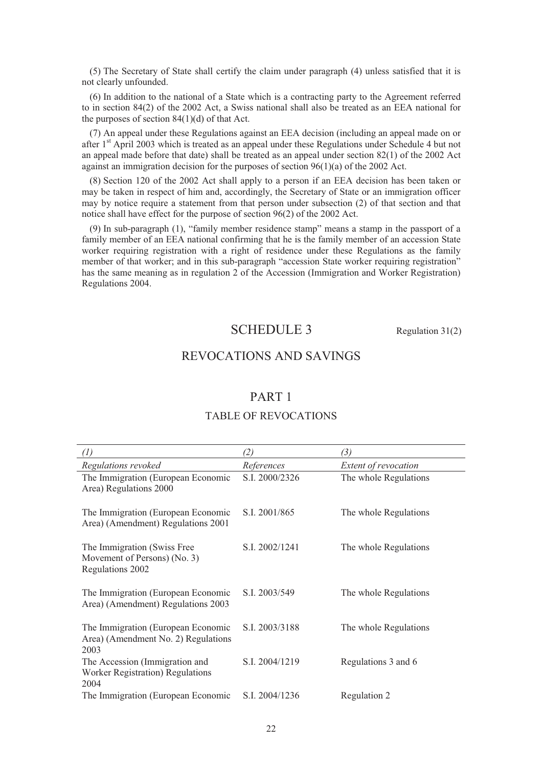(5) The Secretary of State shall certify the claim under paragraph (4) unless satisfied that it is not clearly unfounded.

(6) In addition to the national of a State which is a contracting party to the Agreement referred to in section 84(2) of the 2002 Act, a Swiss national shall also be treated as an EEA national for the purposes of section 84(1)(d) of that Act.

(7) An appeal under these Regulations against an EEA decision (including an appeal made on or after 1<sup>st</sup> April 2003 which is treated as an appeal under these Regulations under Schedule 4 but not an appeal made before that date) shall be treated as an appeal under section 82(1) of the 2002 Act against an immigration decision for the purposes of section 96(1)(a) of the 2002 Act.

(8) Section 120 of the 2002 Act shall apply to a person if an EEA decision has been taken or may be taken in respect of him and, accordingly, the Secretary of State or an immigration officer may by notice require a statement from that person under subsection (2) of that section and that notice shall have effect for the purpose of section 96(2) of the 2002 Act.

(9) In sub-paragraph (1), "family member residence stamp" means a stamp in the passport of a family member of an EEA national confirming that he is the family member of an accession State worker requiring registration with a right of residence under these Regulations as the family member of that worker; and in this sub-paragraph "accession State worker requiring registration" has the same meaning as in regulation 2 of the Accession (Immigration and Worker Registration) Regulations 2004.

## SCHEDULE 3 Regulation 31(2)

## REVOCATIONS AND SAVINGS

## PART 1

## TABLE OF REVOCATIONS

|                                                                                    |                | (3)                   |
|------------------------------------------------------------------------------------|----------------|-----------------------|
| Regulations revoked                                                                | References     | Extent of revocation  |
| The Immigration (European Economic<br>Area) Regulations 2000                       | S.I. 2000/2326 | The whole Regulations |
| The Immigration (European Economic<br>Area) (Amendment) Regulations 2001           | S.I. 2001/865  | The whole Regulations |
| The Immigration (Swiss Free)<br>Movement of Persons) (No. 3)<br>Regulations 2002   | S.I. 2002/1241 | The whole Regulations |
| The Immigration (European Economic<br>Area) (Amendment) Regulations 2003           | S.I. 2003/549  | The whole Regulations |
| The Immigration (European Economic<br>Area) (Amendment No. 2) Regulations<br>2003  | S.I. 2003/3188 | The whole Regulations |
| The Accession (Immigration and<br><b>Worker Registration</b> ) Regulations<br>2004 | S.I. 2004/1219 | Regulations 3 and 6   |
| The Immigration (European Economic                                                 | S.I. 2004/1236 | Regulation 2          |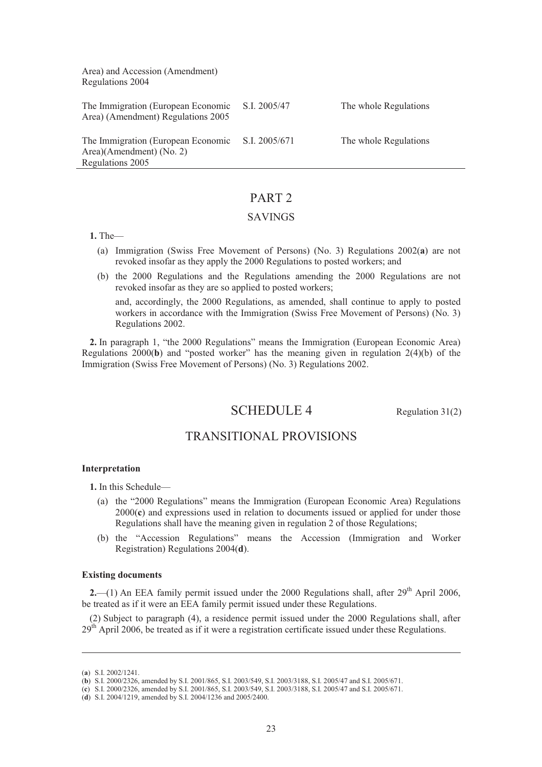| Area) and Accession (Amendment)<br>Regulations 2004                                |               |                       |
|------------------------------------------------------------------------------------|---------------|-----------------------|
| The Immigration (European Economic<br>Area) (Amendment) Regulations 2005           | S.I. 2005/47  | The whole Regulations |
| The Immigration (European Economic<br>Area)(Amendment) (No. 2)<br>Regulations 2005 | S.I. 2005/671 | The whole Regulations |

## PART 2

## SAVINGS

**1.** The—

- (a) Immigration (Swiss Free Movement of Persons) (No. 3) Regulations 2002(**a**) are not revoked insofar as they apply the 2000 Regulations to posted workers; and
- (b) the 2000 Regulations and the Regulations amending the 2000 Regulations are not revoked insofar as they are so applied to posted workers;

and, accordingly, the 2000 Regulations, as amended, shall continue to apply to posted workers in accordance with the Immigration (Swiss Free Movement of Persons) (No. 3) Regulations 2002.

**2.** In paragraph 1, "the 2000 Regulations" means the Immigration (European Economic Area) Regulations 2000(**b**) and "posted worker" has the meaning given in regulation 2(4)(b) of the Immigration (Swiss Free Movement of Persons) (No. 3) Regulations 2002.

## SCHEDULE 4 Regulation 31(2)

## TRANSITIONAL PROVISIONS

#### **Interpretation**

**1.** In this Schedule—

- (a) the "2000 Regulations" means the Immigration (European Economic Area) Regulations 2000(**c**) and expressions used in relation to documents issued or applied for under those Regulations shall have the meaning given in regulation 2 of those Regulations;
- (b) the "Accession Regulations" means the Accession (Immigration and Worker Registration) Regulations 2004(**d**).

#### **Existing documents**

**2.**—(1) An EEA family permit issued under the 2000 Regulations shall, after  $29<sup>th</sup>$  April 2006, be treated as if it were an EEA family permit issued under these Regulations.

(2) Subject to paragraph (4), a residence permit issued under the 2000 Regulations shall, after  $29<sup>th</sup>$  April 2006, be treated as if it were a registration certificate issued under these Regulations.

<sup>(</sup>**a**) S.I. 2002/1241.

<sup>(</sup>**b**) S.I. 2000/2326, amended by S.I. 2001/865, S.I. 2003/549, S.I. 2003/3188, S.I. 2005/47 and S.I. 2005/671.

<sup>(</sup>**c**) S.I. 2000/2326, amended by S.I. 2001/865, S.I. 2003/549, S.I. 2003/3188, S.I. 2005/47 and S.I. 2005/671.

<sup>(</sup>**d**) S.I. 2004/1219, amended by S.I. 2004/1236 and 2005/2400.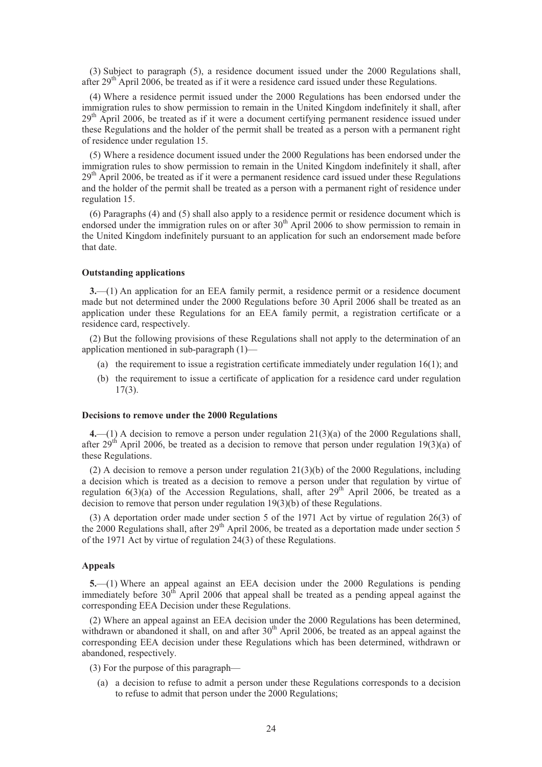(3) Subject to paragraph (5), a residence document issued under the 2000 Regulations shall, after  $29<sup>th</sup>$  April 2006, be treated as if it were a residence card issued under these Regulations.

(4) Where a residence permit issued under the 2000 Regulations has been endorsed under the immigration rules to show permission to remain in the United Kingdom indefinitely it shall, after 29<sup>th</sup> April 2006, be treated as if it were a document certifying permanent residence issued under these Regulations and the holder of the permit shall be treated as a person with a permanent right of residence under regulation 15.

(5) Where a residence document issued under the 2000 Regulations has been endorsed under the immigration rules to show permission to remain in the United Kingdom indefinitely it shall, after 29<sup>th</sup> April 2006, be treated as if it were a permanent residence card issued under these Regulations and the holder of the permit shall be treated as a person with a permanent right of residence under regulation 15.

(6) Paragraphs (4) and (5) shall also apply to a residence permit or residence document which is endorsed under the immigration rules on or after  $30<sup>th</sup>$  April 2006 to show permission to remain in the United Kingdom indefinitely pursuant to an application for such an endorsement made before that date.

#### **Outstanding applications**

**3.**—(1) An application for an EEA family permit, a residence permit or a residence document made but not determined under the 2000 Regulations before 30 April 2006 shall be treated as an application under these Regulations for an EEA family permit, a registration certificate or a residence card, respectively.

(2) But the following provisions of these Regulations shall not apply to the determination of an application mentioned in sub-paragraph (1)—

- (a) the requirement to issue a registration certificate immediately under regulation 16(1); and
- (b) the requirement to issue a certificate of application for a residence card under regulation 17(3).

#### **Decisions to remove under the 2000 Regulations**

**4.**—(1) A decision to remove a person under regulation 21(3)(a) of the 2000 Regulations shall, after  $29<sup>th</sup>$  April 2006, be treated as a decision to remove that person under regulation 19(3)(a) of these Regulations.

(2) A decision to remove a person under regulation  $21(3)(b)$  of the 2000 Regulations, including a decision which is treated as a decision to remove a person under that regulation by virtue of regulation  $6(3)(a)$  of the Accession Regulations, shall, after  $29<sup>th</sup>$  April 2006, be treated as a decision to remove that person under regulation 19(3)(b) of these Regulations.

(3) A deportation order made under section 5 of the 1971 Act by virtue of regulation 26(3) of the 2000 Regulations shall, after  $29<sup>th</sup>$  April 2006, be treated as a deportation made under section 5 of the 1971 Act by virtue of regulation 24(3) of these Regulations.

#### **Appeals**

**5.**—(1) Where an appeal against an EEA decision under the 2000 Regulations is pending immediately before  $30<sup>th</sup>$  April 2006 that appeal shall be treated as a pending appeal against the corresponding EEA Decision under these Regulations.

(2) Where an appeal against an EEA decision under the 2000 Regulations has been determined, withdrawn or abandoned it shall, on and after  $30<sup>th</sup>$  April 2006, be treated as an appeal against the corresponding EEA decision under these Regulations which has been determined, withdrawn or abandoned, respectively.

- (3) For the purpose of this paragraph—
	- (a) a decision to refuse to admit a person under these Regulations corresponds to a decision to refuse to admit that person under the 2000 Regulations;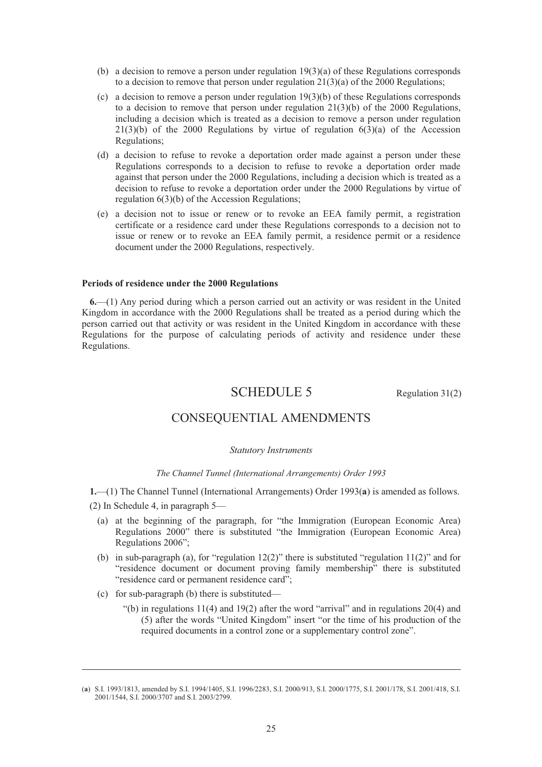- (b) a decision to remove a person under regulation  $19(3)(a)$  of these Regulations corresponds to a decision to remove that person under regulation  $21(3)(a)$  of the 2000 Regulations;
- (c) a decision to remove a person under regulation 19(3)(b) of these Regulations corresponds to a decision to remove that person under regulation 21(3)(b) of the 2000 Regulations, including a decision which is treated as a decision to remove a person under regulation  $21(3)(b)$  of the 2000 Regulations by virtue of regulation  $6(3)(a)$  of the Accession Regulations;
- (d) a decision to refuse to revoke a deportation order made against a person under these Regulations corresponds to a decision to refuse to revoke a deportation order made against that person under the 2000 Regulations, including a decision which is treated as a decision to refuse to revoke a deportation order under the 2000 Regulations by virtue of regulation 6(3)(b) of the Accession Regulations;
- (e) a decision not to issue or renew or to revoke an EEA family permit, a registration certificate or a residence card under these Regulations corresponds to a decision not to issue or renew or to revoke an EEA family permit, a residence permit or a residence document under the 2000 Regulations, respectively.

#### **Periods of residence under the 2000 Regulations**

**6.**—(1) Any period during which a person carried out an activity or was resident in the United Kingdom in accordance with the 2000 Regulations shall be treated as a period during which the person carried out that activity or was resident in the United Kingdom in accordance with these Regulations for the purpose of calculating periods of activity and residence under these Regulations.

## SCHEDULE 5 Regulation 31(2)

## CONSEQUENTIAL AMENDMENTS

#### *Statutory Instruments*

#### *The Channel Tunnel (International Arrangements) Order 1993*

**1.**—(1) The Channel Tunnel (International Arrangements) Order 1993(**a**) is amended as follows.

(2) In Schedule 4, in paragraph 5—

- (a) at the beginning of the paragraph, for "the Immigration (European Economic Area) Regulations 2000" there is substituted "the Immigration (European Economic Area) Regulations 2006";
- (b) in sub-paragraph (a), for "regulation  $12(2)$ " there is substituted "regulation  $11(2)$ " and for "residence document or document proving family membership" there is substituted "residence card or permanent residence card";
- (c) for sub-paragraph (b) there is substituted—
	- "(b) in regulations  $11(4)$  and  $19(2)$  after the word "arrival" and in regulations  $20(4)$  and (5) after the words "United Kingdom" insert "or the time of his production of the required documents in a control zone or a supplementary control zone".

<sup>(</sup>**a**) S.I. 1993/1813, amended by S.I. 1994/1405, S.I. 1996/2283, S.I. 2000/913, S.I. 2000/1775, S.I. 2001/178, S.I. 2001/418, S.I. 2001/1544, S.I. 2000/3707 and S.I. 2003/2799.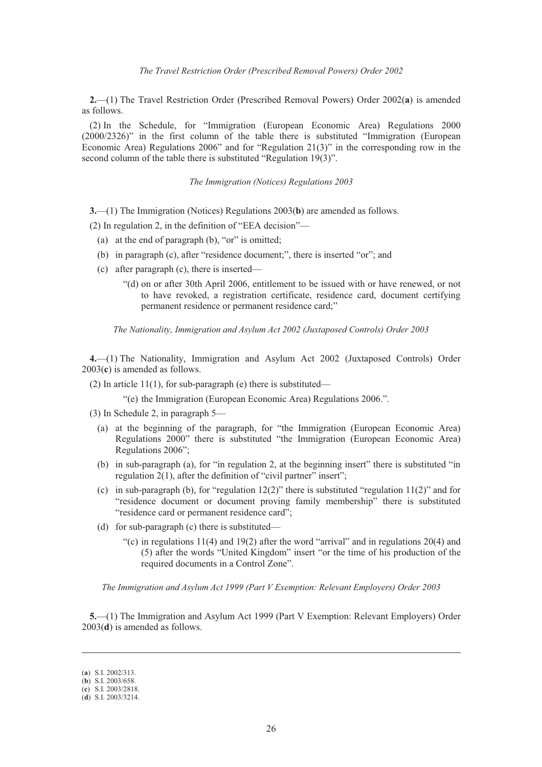#### *The Travel Restriction Order (Prescribed Removal Powers) Order 2002*

**2.**—(1) The Travel Restriction Order (Prescribed Removal Powers) Order 2002(**a**) is amended as follows.

(2) In the Schedule, for "Immigration (European Economic Area) Regulations 2000 (2000/2326)" in the first column of the table there is substituted "Immigration (European Economic Area) Regulations 2006" and for "Regulation 21(3)" in the corresponding row in the second column of the table there is substituted "Regulation 19(3)".

#### *The Immigration (Notices) Regulations 2003*

**3.**—(1) The Immigration (Notices) Regulations 2003(**b**) are amended as follows.

(2) In regulation 2, in the definition of "EEA decision"—

- (a) at the end of paragraph (b), "or" is omitted;
- (b) in paragraph (c), after "residence document;", there is inserted "or"; and
- (c) after paragraph (c), there is inserted—
	- "(d) on or after 30th April 2006, entitlement to be issued with or have renewed, or not to have revoked, a registration certificate, residence card, document certifying permanent residence or permanent residence card;"

*The Nationality, Immigration and Asylum Act 2002 (Juxtaposed Controls) Order 2003* 

**4.**—(1) The Nationality, Immigration and Asylum Act 2002 (Juxtaposed Controls) Order 2003(**c**) is amended as follows.

(2) In article  $11(1)$ , for sub-paragraph (e) there is substituted—

"(e) the Immigration (European Economic Area) Regulations 2006.".

- (3) In Schedule 2, in paragraph 5—
	- (a) at the beginning of the paragraph, for "the Immigration (European Economic Area) Regulations 2000" there is substituted "the Immigration (European Economic Area) Regulations 2006";
	- (b) in sub-paragraph (a), for "in regulation 2, at the beginning insert" there is substituted "in regulation 2(1), after the definition of "civil partner" insert";
	- (c) in sub-paragraph (b), for "regulation  $12(2)$ " there is substituted "regulation  $11(2)$ " and for "residence document or document proving family membership" there is substituted "residence card or permanent residence card";
	- (d) for sub-paragraph (c) there is substituted—
		- "(c) in regulations 11(4) and 19(2) after the word "arrival" and in regulations 20(4) and (5) after the words "United Kingdom" insert "or the time of his production of the required documents in a Control Zone".

*The Immigration and Asylum Act 1999 (Part V Exemption: Relevant Employers) Order 2003* 

**5.**—(1) The Immigration and Asylum Act 1999 (Part V Exemption: Relevant Employers) Order 2003(**d**) is amended as follows.

<sup>(</sup>**a**) S.I. 2002/313.

<sup>(</sup>**b**) S.I. 2003/658.

<sup>(</sup>**c**) S.I. 2003/2818.

<sup>(</sup>**d**) S.I. 2003/3214.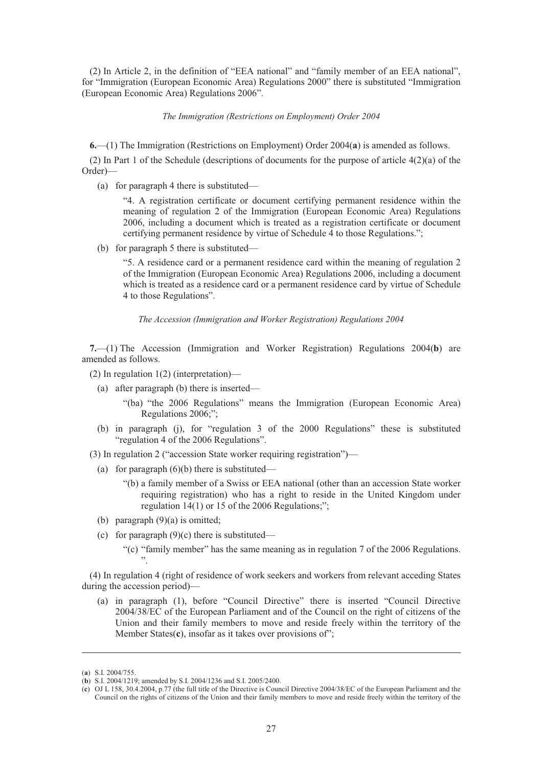(2) In Article 2, in the definition of "EEA national" and "family member of an EEA national", for "Immigration (European Economic Area) Regulations 2000" there is substituted "Immigration (European Economic Area) Regulations 2006".

#### *The Immigration (Restrictions on Employment) Order 2004*

**6.**—(1) The Immigration (Restrictions on Employment) Order 2004(**a**) is amended as follows.

(2) In Part 1 of the Schedule (descriptions of documents for the purpose of article 4(2)(a) of the Order)—

(a) for paragraph 4 there is substituted—

"4. A registration certificate or document certifying permanent residence within the meaning of regulation 2 of the Immigration (European Economic Area) Regulations 2006, including a document which is treated as a registration certificate or document certifying permanent residence by virtue of Schedule 4 to those Regulations.";

(b) for paragraph 5 there is substituted—

"5. A residence card or a permanent residence card within the meaning of regulation 2 of the Immigration (European Economic Area) Regulations 2006, including a document which is treated as a residence card or a permanent residence card by virtue of Schedule 4 to those Regulations".

#### *The Accession (Immigration and Worker Registration) Regulations 2004*

**7.**—(1) The Accession (Immigration and Worker Registration) Regulations 2004(**b**) are amended as follows.

- (2) In regulation 1(2) (interpretation)—
	- (a) after paragraph (b) there is inserted—
		- "(ba) "the 2006 Regulations" means the Immigration (European Economic Area) Regulations 2006;";
	- (b) in paragraph (j), for "regulation 3 of the 2000 Regulations" these is substituted "regulation 4 of the 2006 Regulations".
- (3) In regulation 2 ("accession State worker requiring registration")—
	- (a) for paragraph  $(6)(b)$  there is substituted—
		- "(b) a family member of a Swiss or EEA national (other than an accession State worker requiring registration) who has a right to reside in the United Kingdom under regulation 14(1) or 15 of the 2006 Regulations;";
	- (b) paragraph  $(9)(a)$  is omitted;

".

(c) for paragraph  $(9)(c)$  there is substituted—

"(c) "family member" has the same meaning as in regulation 7 of the 2006 Regulations.

(4) In regulation 4 (right of residence of work seekers and workers from relevant acceding States during the accession period)—

(a) in paragraph (1), before "Council Directive" there is inserted "Council Directive 2004/38/EC of the European Parliament and of the Council on the right of citizens of the Union and their family members to move and reside freely within the territory of the Member States(c), insofar as it takes over provisions of";

<sup>(</sup>**a**) S.I. 2004/755.

<sup>(</sup>**b**) S.I. 2004/1219; amended by S.I. 2004/1236 and S.I. 2005/2400.

<sup>(</sup>**c**) OJ L 158, 30.4.2004, p.77 (the full title of the Directive is Council Directive 2004/38/EC of the European Parliament and the Council on the rights of citizens of the Union and their family members to move and reside freely within the territory of the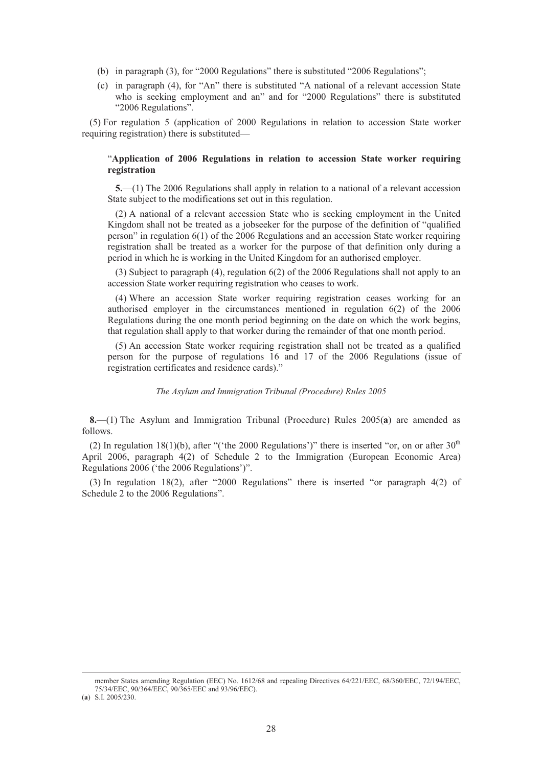- (b) in paragraph (3), for "2000 Regulations" there is substituted "2006 Regulations";
- (c) in paragraph (4), for "An" there is substituted "A national of a relevant accession State who is seeking employment and an" and for "2000 Regulations" there is substituted "2006 Regulations".

(5) For regulation 5 (application of 2000 Regulations in relation to accession State worker requiring registration) there is substituted—

#### "**Application of 2006 Regulations in relation to accession State worker requiring registration**

**5.**—(1) The 2006 Regulations shall apply in relation to a national of a relevant accession State subject to the modifications set out in this regulation.

(2) A national of a relevant accession State who is seeking employment in the United Kingdom shall not be treated as a jobseeker for the purpose of the definition of "qualified person" in regulation 6(1) of the 2006 Regulations and an accession State worker requiring registration shall be treated as a worker for the purpose of that definition only during a period in which he is working in the United Kingdom for an authorised employer.

(3) Subject to paragraph (4), regulation 6(2) of the 2006 Regulations shall not apply to an accession State worker requiring registration who ceases to work.

(4) Where an accession State worker requiring registration ceases working for an authorised employer in the circumstances mentioned in regulation 6(2) of the 2006 Regulations during the one month period beginning on the date on which the work begins, that regulation shall apply to that worker during the remainder of that one month period.

(5) An accession State worker requiring registration shall not be treated as a qualified person for the purpose of regulations 16 and 17 of the 2006 Regulations (issue of registration certificates and residence cards)."

*The Asylum and Immigration Tribunal (Procedure) Rules 2005* 

**8.**—(1) The Asylum and Immigration Tribunal (Procedure) Rules 2005(**a**) are amended as follows.

(2) In regulation 18(1)(b), after "('the 2000 Regulations')" there is inserted "or, on or after 30<sup>th</sup> April 2006, paragraph 4(2) of Schedule 2 to the Immigration (European Economic Area) Regulations 2006 ('the 2006 Regulations')".

(3) In regulation 18(2), after "2000 Regulations" there is inserted "or paragraph 4(2) of Schedule 2 to the 2006 Regulations".

member States amending Regulation (EEC) No. 1612/68 and repealing Directives 64/221/EEC, 68/360/EEC, 72/194/EEC, 75/34/EEC, 90/364/EEC, 90/365/EEC and 93/96/EEC).

<sup>(</sup>**a**) S.I. 2005/230.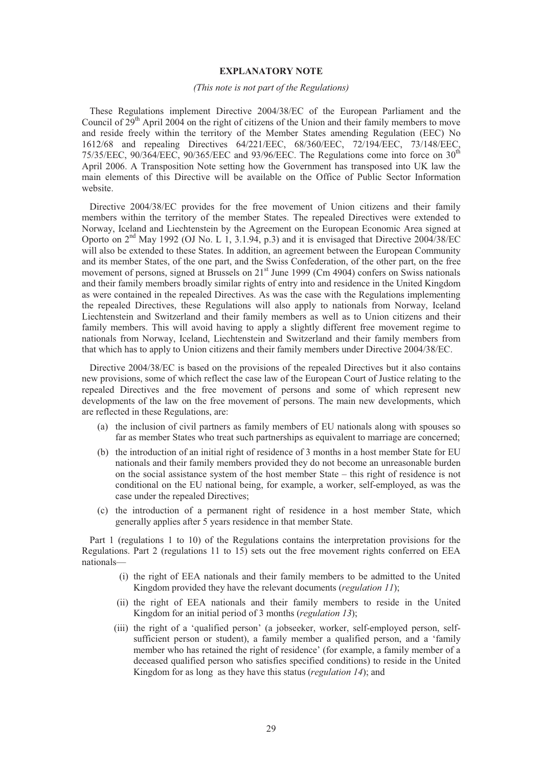#### **EXPLANATORY NOTE**

#### *(This note is not part of the Regulations)*

These Regulations implement Directive 2004/38/EC of the European Parliament and the Council of  $29<sup>th</sup>$  April 2004 on the right of citizens of the Union and their family members to move and reside freely within the territory of the Member States amending Regulation (EEC) No 1612/68 and repealing Directives 64/221/EEC, 68/360/EEC, 72/194/EEC, 73/148/EEC,  $75/35/EEC$ ,  $90/364/EEC$ ,  $90/365/EEC$  and  $93/96/EEC$ . The Regulations come into force on  $30<sup>th</sup>$ April 2006. A Transposition Note setting how the Government has transposed into UK law the main elements of this Directive will be available on the Office of Public Sector Information website.

Directive 2004/38/EC provides for the free movement of Union citizens and their family members within the territory of the member States. The repealed Directives were extended to Norway, Iceland and Liechtenstein by the Agreement on the European Economic Area signed at Oporto on  $2<sup>nd</sup>$  May 1992 (OJ No. L 1, 3.1.94, p.3) and it is envisaged that Directive 2004/38/EC will also be extended to these States. In addition, an agreement between the European Community and its member States, of the one part, and the Swiss Confederation, of the other part, on the free movement of persons, signed at Brussels on 21<sup>st</sup> June 1999 (Cm 4904) confers on Swiss nationals and their family members broadly similar rights of entry into and residence in the United Kingdom as were contained in the repealed Directives. As was the case with the Regulations implementing the repealed Directives, these Regulations will also apply to nationals from Norway, Iceland Liechtenstein and Switzerland and their family members as well as to Union citizens and their family members. This will avoid having to apply a slightly different free movement regime to nationals from Norway, Iceland, Liechtenstein and Switzerland and their family members from that which has to apply to Union citizens and their family members under Directive 2004/38/EC.

Directive 2004/38/EC is based on the provisions of the repealed Directives but it also contains new provisions, some of which reflect the case law of the European Court of Justice relating to the repealed Directives and the free movement of persons and some of which represent new developments of the law on the free movement of persons. The main new developments, which are reflected in these Regulations, are:

- (a) the inclusion of civil partners as family members of EU nationals along with spouses so far as member States who treat such partnerships as equivalent to marriage are concerned;
- (b) the introduction of an initial right of residence of 3 months in a host member State for EU nationals and their family members provided they do not become an unreasonable burden on the social assistance system of the host member State – this right of residence is not conditional on the EU national being, for example, a worker, self-employed, as was the case under the repealed Directives;
- (c) the introduction of a permanent right of residence in a host member State, which generally applies after 5 years residence in that member State.

Part 1 (regulations 1 to 10) of the Regulations contains the interpretation provisions for the Regulations. Part 2 (regulations 11 to 15) sets out the free movement rights conferred on EEA nationals—

- (i) the right of EEA nationals and their family members to be admitted to the United Kingdom provided they have the relevant documents (*regulation 11*);
- (ii) the right of EEA nationals and their family members to reside in the United Kingdom for an initial period of 3 months (*regulation 13*);
- (iii) the right of a 'qualified person' (a jobseeker, worker, self-employed person, selfsufficient person or student), a family member a qualified person, and a 'family member who has retained the right of residence' (for example, a family member of a deceased qualified person who satisfies specified conditions) to reside in the United Kingdom for as long as they have this status (*regulation 14*); and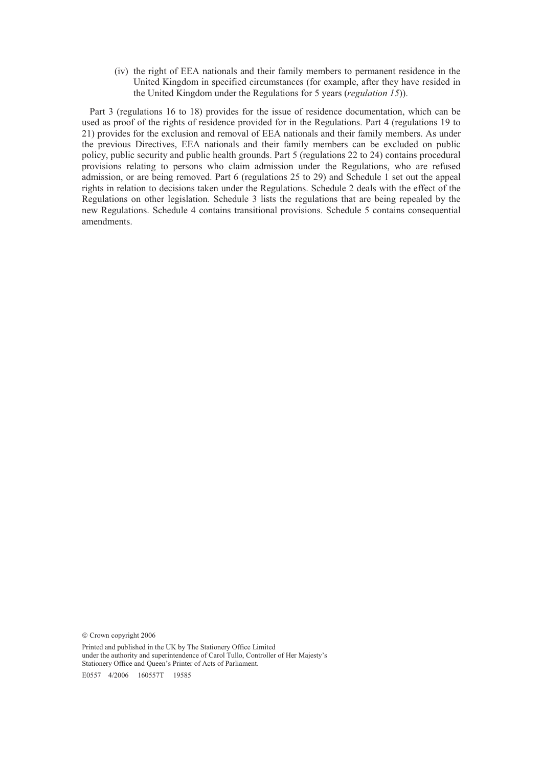(iv) the right of EEA nationals and their family members to permanent residence in the United Kingdom in specified circumstances (for example, after they have resided in the United Kingdom under the Regulations for 5 years (*regulation 15*)).

Part 3 (regulations 16 to 18) provides for the issue of residence documentation, which can be used as proof of the rights of residence provided for in the Regulations. Part 4 (regulations 19 to 21) provides for the exclusion and removal of EEA nationals and their family members. As under the previous Directives, EEA nationals and their family members can be excluded on public policy, public security and public health grounds. Part 5 (regulations 22 to 24) contains procedural provisions relating to persons who claim admission under the Regulations, who are refused admission, or are being removed. Part 6 (regulations 25 to 29) and Schedule 1 set out the appeal rights in relation to decisions taken under the Regulations. Schedule 2 deals with the effect of the Regulations on other legislation. Schedule 3 lists the regulations that are being repealed by the new Regulations. Schedule 4 contains transitional provisions. Schedule 5 contains consequential amendments.

 $©$  Crown copyright 2006

Printed and published in the UK by The Stationery Office Limited under the authority and superintendence of Carol Tullo, Controller of Her Majesty's Stationery Office and Queen's Printer of Acts of Parliament.

E0557 4/2006 160557T 19585